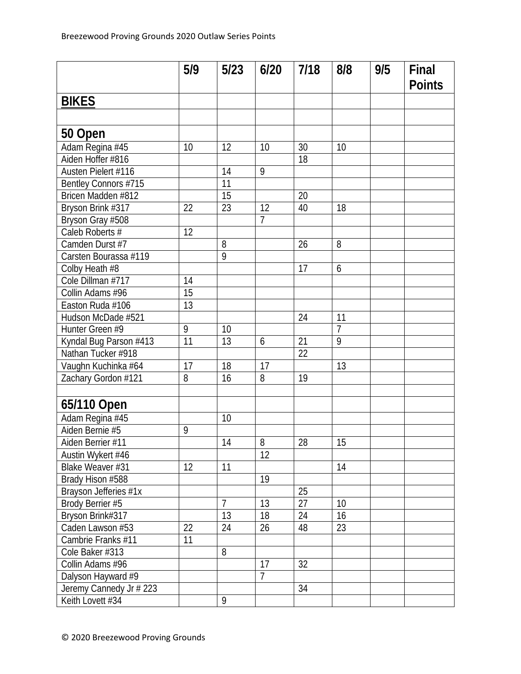|                         | 5/9             | 5/23           | 6/20           | 7/18 | 8/8            | 9/5 | Final<br><b>Points</b> |
|-------------------------|-----------------|----------------|----------------|------|----------------|-----|------------------------|
| <b>BIKES</b>            |                 |                |                |      |                |     |                        |
|                         |                 |                |                |      |                |     |                        |
| 50 Open                 |                 |                |                |      |                |     |                        |
| Adam Regina #45         | 10              | 12             | 10             | 30   | 10             |     |                        |
| Aiden Hoffer #816       |                 |                |                | 18   |                |     |                        |
| Austen Pielert #116     |                 | 14             | 9              |      |                |     |                        |
| Bentley Connors #715    |                 | 11             |                |      |                |     |                        |
| Bricen Madden #812      |                 | 15             |                | 20   |                |     |                        |
| Bryson Brink #317       | 22              | 23             | 12             | 40   | 18             |     |                        |
| Bryson Gray #508        |                 |                | 7              |      |                |     |                        |
| Caleb Roberts #         | 12              |                |                |      |                |     |                        |
| Camden Durst #7         |                 | 8              |                | 26   | 8              |     |                        |
| Carsten Bourassa #119   |                 | $\overline{9}$ |                |      |                |     |                        |
| Colby Heath #8          |                 |                |                | 17   | 6              |     |                        |
| Cole Dillman #717       | 14              |                |                |      |                |     |                        |
| Collin Adams #96        | 15              |                |                |      |                |     |                        |
| Easton Ruda #106        | $\overline{13}$ |                |                |      |                |     |                        |
| Hudson McDade #521      |                 |                |                | 24   | 11             |     |                        |
| Hunter Green #9         | 9               | 10             |                |      | $\overline{7}$ |     |                        |
| Kyndal Bug Parson #413  | 11              | 13             | 6              | 21   | $\overline{9}$ |     |                        |
| Nathan Tucker #918      |                 |                |                | 22   |                |     |                        |
| Vaughn Kuchinka #64     | 17              | 18             | 17             |      | 13             |     |                        |
| Zachary Gordon #121     | 8               | 16             | 8              | 19   |                |     |                        |
|                         |                 |                |                |      |                |     |                        |
| 65/110 Open             |                 |                |                |      |                |     |                        |
| Adam Regina #45         |                 | 10             |                |      |                |     |                        |
| Aiden Bernie #5         | 9               |                |                |      |                |     |                        |
| Aiden Berrier #11       |                 | 14             | 8              | 28   | 15             |     |                        |
| Austin Wykert #46       |                 |                | 12             |      |                |     |                        |
| Blake Weaver #31        | 12              | 11             |                |      | 14             |     |                        |
| Brady Hison #588        |                 |                | 19             |      |                |     |                        |
| Brayson Jefferies #1x   |                 |                |                | 25   |                |     |                        |
| Brody Berrier #5        |                 | $\overline{7}$ | 13             | 27   | 10             |     |                        |
| Bryson Brink#317        |                 | 13             | 18             | 24   | 16             |     |                        |
| Caden Lawson #53        | 22              | 24             | 26             | 48   | 23             |     |                        |
| Cambrie Franks #11      | 11              |                |                |      |                |     |                        |
| Cole Baker #313         |                 | 8              |                |      |                |     |                        |
| Collin Adams #96        |                 |                | 17             | 32   |                |     |                        |
| Dalyson Hayward #9      |                 |                | $\overline{7}$ |      |                |     |                        |
| Jeremy Cannedy Jr # 223 |                 |                |                | 34   |                |     |                        |
| Keith Lovett #34        |                 | 9              |                |      |                |     |                        |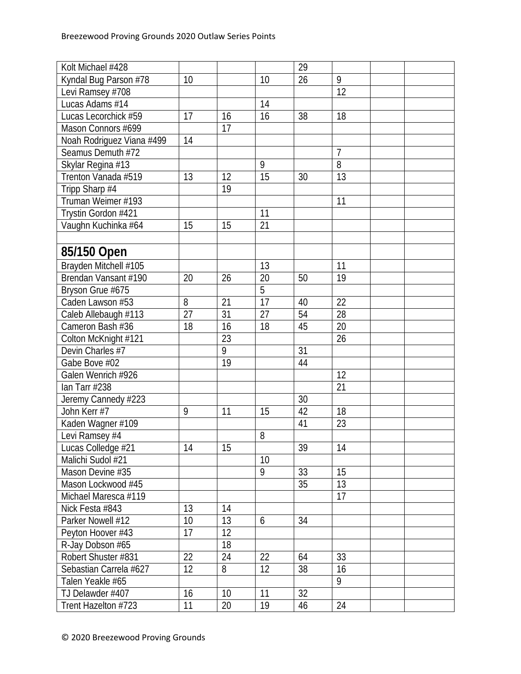| $\overline{9}$<br>26<br>Kyndal Bug Parson #78<br>10<br>10<br>$\overline{12}$<br>Levi Ramsey #708<br>Lucas Adams #14<br>14<br>Lucas Lecorchick #59<br>17<br>16<br>16<br>38<br>18<br>17<br>Mason Connors #699<br>Noah Rodriguez Viana #499<br>14<br>$\overline{7}$<br>Seamus Demuth #72<br>8<br>Skylar Regina #13<br>9<br>13<br>Trenton Vanada #519<br>12<br>15<br>13<br>30<br>19<br>Tripp Sharp #4<br>Truman Weimer #193<br>11<br>Trystin Gordon #421<br>11<br>21<br>15<br>15<br>Vaughn Kuchinka #64<br>85/150 Open<br>Brayden Mitchell #105<br>13<br>11<br>Brendan Vansant #190<br>20<br>26<br>20<br>50<br>19<br>5<br>Bryson Grue #675<br>17<br>Caden Lawson #53<br>8<br>21<br>40<br>22<br>28<br>Caleb Allebaugh #113<br>27<br>31<br>27<br>54<br>16<br>20<br>18<br>18<br>45<br>Cameron Bash #36<br>23<br>26<br>Colton McKnight #121<br>9<br>Devin Charles #7<br>31<br>19<br>Gabe Bove #02<br>44<br>Galen Wenrich #926<br>12<br>21<br>lan Tarr #238<br>30<br>Jeremy Cannedy #223<br>18<br>John Kerr #7<br>42<br>9<br>11<br>15<br>23<br>41<br>Kaden Wagner #109 |
|---------------------------------------------------------------------------------------------------------------------------------------------------------------------------------------------------------------------------------------------------------------------------------------------------------------------------------------------------------------------------------------------------------------------------------------------------------------------------------------------------------------------------------------------------------------------------------------------------------------------------------------------------------------------------------------------------------------------------------------------------------------------------------------------------------------------------------------------------------------------------------------------------------------------------------------------------------------------------------------------------------------------------------------------------------------|
|                                                                                                                                                                                                                                                                                                                                                                                                                                                                                                                                                                                                                                                                                                                                                                                                                                                                                                                                                                                                                                                               |
|                                                                                                                                                                                                                                                                                                                                                                                                                                                                                                                                                                                                                                                                                                                                                                                                                                                                                                                                                                                                                                                               |
|                                                                                                                                                                                                                                                                                                                                                                                                                                                                                                                                                                                                                                                                                                                                                                                                                                                                                                                                                                                                                                                               |
|                                                                                                                                                                                                                                                                                                                                                                                                                                                                                                                                                                                                                                                                                                                                                                                                                                                                                                                                                                                                                                                               |
|                                                                                                                                                                                                                                                                                                                                                                                                                                                                                                                                                                                                                                                                                                                                                                                                                                                                                                                                                                                                                                                               |
|                                                                                                                                                                                                                                                                                                                                                                                                                                                                                                                                                                                                                                                                                                                                                                                                                                                                                                                                                                                                                                                               |
|                                                                                                                                                                                                                                                                                                                                                                                                                                                                                                                                                                                                                                                                                                                                                                                                                                                                                                                                                                                                                                                               |
|                                                                                                                                                                                                                                                                                                                                                                                                                                                                                                                                                                                                                                                                                                                                                                                                                                                                                                                                                                                                                                                               |
|                                                                                                                                                                                                                                                                                                                                                                                                                                                                                                                                                                                                                                                                                                                                                                                                                                                                                                                                                                                                                                                               |
|                                                                                                                                                                                                                                                                                                                                                                                                                                                                                                                                                                                                                                                                                                                                                                                                                                                                                                                                                                                                                                                               |
|                                                                                                                                                                                                                                                                                                                                                                                                                                                                                                                                                                                                                                                                                                                                                                                                                                                                                                                                                                                                                                                               |
|                                                                                                                                                                                                                                                                                                                                                                                                                                                                                                                                                                                                                                                                                                                                                                                                                                                                                                                                                                                                                                                               |
|                                                                                                                                                                                                                                                                                                                                                                                                                                                                                                                                                                                                                                                                                                                                                                                                                                                                                                                                                                                                                                                               |
|                                                                                                                                                                                                                                                                                                                                                                                                                                                                                                                                                                                                                                                                                                                                                                                                                                                                                                                                                                                                                                                               |
|                                                                                                                                                                                                                                                                                                                                                                                                                                                                                                                                                                                                                                                                                                                                                                                                                                                                                                                                                                                                                                                               |
|                                                                                                                                                                                                                                                                                                                                                                                                                                                                                                                                                                                                                                                                                                                                                                                                                                                                                                                                                                                                                                                               |
|                                                                                                                                                                                                                                                                                                                                                                                                                                                                                                                                                                                                                                                                                                                                                                                                                                                                                                                                                                                                                                                               |
|                                                                                                                                                                                                                                                                                                                                                                                                                                                                                                                                                                                                                                                                                                                                                                                                                                                                                                                                                                                                                                                               |
|                                                                                                                                                                                                                                                                                                                                                                                                                                                                                                                                                                                                                                                                                                                                                                                                                                                                                                                                                                                                                                                               |
|                                                                                                                                                                                                                                                                                                                                                                                                                                                                                                                                                                                                                                                                                                                                                                                                                                                                                                                                                                                                                                                               |
|                                                                                                                                                                                                                                                                                                                                                                                                                                                                                                                                                                                                                                                                                                                                                                                                                                                                                                                                                                                                                                                               |
|                                                                                                                                                                                                                                                                                                                                                                                                                                                                                                                                                                                                                                                                                                                                                                                                                                                                                                                                                                                                                                                               |
|                                                                                                                                                                                                                                                                                                                                                                                                                                                                                                                                                                                                                                                                                                                                                                                                                                                                                                                                                                                                                                                               |
|                                                                                                                                                                                                                                                                                                                                                                                                                                                                                                                                                                                                                                                                                                                                                                                                                                                                                                                                                                                                                                                               |
|                                                                                                                                                                                                                                                                                                                                                                                                                                                                                                                                                                                                                                                                                                                                                                                                                                                                                                                                                                                                                                                               |
|                                                                                                                                                                                                                                                                                                                                                                                                                                                                                                                                                                                                                                                                                                                                                                                                                                                                                                                                                                                                                                                               |
|                                                                                                                                                                                                                                                                                                                                                                                                                                                                                                                                                                                                                                                                                                                                                                                                                                                                                                                                                                                                                                                               |
|                                                                                                                                                                                                                                                                                                                                                                                                                                                                                                                                                                                                                                                                                                                                                                                                                                                                                                                                                                                                                                                               |
|                                                                                                                                                                                                                                                                                                                                                                                                                                                                                                                                                                                                                                                                                                                                                                                                                                                                                                                                                                                                                                                               |
| Levi Ramsey #4<br>8                                                                                                                                                                                                                                                                                                                                                                                                                                                                                                                                                                                                                                                                                                                                                                                                                                                                                                                                                                                                                                           |
| Lucas Colledge #21<br>39<br>14<br>15<br>14                                                                                                                                                                                                                                                                                                                                                                                                                                                                                                                                                                                                                                                                                                                                                                                                                                                                                                                                                                                                                    |
| 10<br>Malichi Sudol #21                                                                                                                                                                                                                                                                                                                                                                                                                                                                                                                                                                                                                                                                                                                                                                                                                                                                                                                                                                                                                                       |
| 9<br>15<br>Mason Devine #35<br>33                                                                                                                                                                                                                                                                                                                                                                                                                                                                                                                                                                                                                                                                                                                                                                                                                                                                                                                                                                                                                             |
| $\overline{13}$<br>35<br>Mason Lockwood #45                                                                                                                                                                                                                                                                                                                                                                                                                                                                                                                                                                                                                                                                                                                                                                                                                                                                                                                                                                                                                   |
| 17<br>Michael Maresca #119                                                                                                                                                                                                                                                                                                                                                                                                                                                                                                                                                                                                                                                                                                                                                                                                                                                                                                                                                                                                                                    |
| Nick Festa #843<br>13<br>14                                                                                                                                                                                                                                                                                                                                                                                                                                                                                                                                                                                                                                                                                                                                                                                                                                                                                                                                                                                                                                   |
| 13<br>Parker Nowell #12<br>10<br>34<br>6                                                                                                                                                                                                                                                                                                                                                                                                                                                                                                                                                                                                                                                                                                                                                                                                                                                                                                                                                                                                                      |
| 12<br>Peyton Hoover #43<br>17                                                                                                                                                                                                                                                                                                                                                                                                                                                                                                                                                                                                                                                                                                                                                                                                                                                                                                                                                                                                                                 |
| 18<br>R-Jay Dobson #65                                                                                                                                                                                                                                                                                                                                                                                                                                                                                                                                                                                                                                                                                                                                                                                                                                                                                                                                                                                                                                        |
| 24<br>22<br>22<br>33<br>Robert Shuster #831<br>64                                                                                                                                                                                                                                                                                                                                                                                                                                                                                                                                                                                                                                                                                                                                                                                                                                                                                                                                                                                                             |
| 8<br>12 <sup>°</sup><br>16<br>Sebastian Carrela #627<br>12<br>38                                                                                                                                                                                                                                                                                                                                                                                                                                                                                                                                                                                                                                                                                                                                                                                                                                                                                                                                                                                              |
| 9<br>Talen Yeakle #65                                                                                                                                                                                                                                                                                                                                                                                                                                                                                                                                                                                                                                                                                                                                                                                                                                                                                                                                                                                                                                         |
| 32<br>TJ Delawder #407<br>16<br>10<br>11                                                                                                                                                                                                                                                                                                                                                                                                                                                                                                                                                                                                                                                                                                                                                                                                                                                                                                                                                                                                                      |
| 20<br>19<br>11<br>24<br>Trent Hazelton #723<br>46                                                                                                                                                                                                                                                                                                                                                                                                                                                                                                                                                                                                                                                                                                                                                                                                                                                                                                                                                                                                             |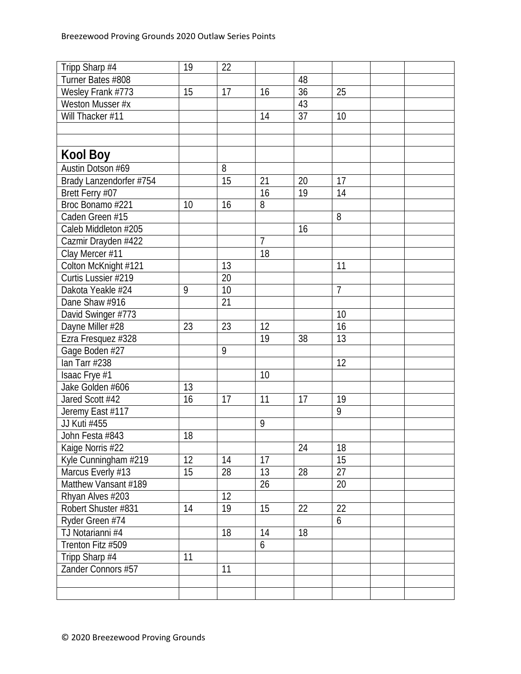| Tripp Sharp #4          | 19 | 22 |                |    |                |  |
|-------------------------|----|----|----------------|----|----------------|--|
| Turner Bates #808       |    |    |                | 48 |                |  |
| Wesley Frank #773       | 15 | 17 | 16             | 36 | 25             |  |
| Weston Musser #x        |    |    |                | 43 |                |  |
| Will Thacker #11        |    |    | 14             | 37 | 10             |  |
|                         |    |    |                |    |                |  |
|                         |    |    |                |    |                |  |
| <b>Kool Boy</b>         |    |    |                |    |                |  |
| Austin Dotson #69       |    | 8  |                |    |                |  |
| Brady Lanzendorfer #754 |    | 15 | 21             | 20 | 17             |  |
| Brett Ferry #07         |    |    | 16             | 19 | 14             |  |
| Broc Bonamo #221        | 10 | 16 | 8              |    |                |  |
| Caden Green #15         |    |    |                |    | 8              |  |
| Caleb Middleton #205    |    |    |                | 16 |                |  |
| Cazmir Drayden #422     |    |    | $\overline{7}$ |    |                |  |
| Clay Mercer #11         |    |    | 18             |    |                |  |
| Colton McKnight #121    |    | 13 |                |    | 11             |  |
| Curtis Lussier #219     |    | 20 |                |    |                |  |
| Dakota Yeakle #24       | 9  | 10 |                |    | $\overline{7}$ |  |
| Dane Shaw #916          |    | 21 |                |    |                |  |
| David Swinger #773      |    |    |                |    | 10             |  |
| Dayne Miller #28        | 23 | 23 | 12             |    | 16             |  |
| Ezra Fresquez #328      |    |    | 19             | 38 | 13             |  |
| Gage Boden #27          |    | 9  |                |    |                |  |
| lan Tarr #238           |    |    |                |    | 12             |  |
| Isaac Frye #1           |    |    | 10             |    |                |  |
| Jake Golden #606        | 13 |    |                |    |                |  |
| Jared Scott #42         | 16 | 17 | 11             | 17 | 19             |  |
| Jeremy East #117        |    |    |                |    | 9              |  |
| JJ Kuti #455            |    |    | 9              |    |                |  |
| John Festa #843         | 18 |    |                |    |                |  |
| Kaige Norris #22        |    |    |                | 24 | 18             |  |
| Kyle Cunningham #219    | 12 | 14 | 17             |    | 15             |  |
| Marcus Everly #13       | 15 | 28 | 13             | 28 | 27             |  |
| Matthew Vansant #189    |    |    | 26             |    | 20             |  |
| Rhyan Alves #203        |    | 12 |                |    |                |  |
| Robert Shuster #831     | 14 | 19 | 15             | 22 | 22             |  |
| Ryder Green #74         |    |    |                |    | 6              |  |
| TJ Notarianni #4        |    | 18 | 14             | 18 |                |  |
| Trenton Fitz #509       |    |    | 6              |    |                |  |
| Tripp Sharp #4          | 11 |    |                |    |                |  |
| Zander Connors #57      |    | 11 |                |    |                |  |
|                         |    |    |                |    |                |  |
|                         |    |    |                |    |                |  |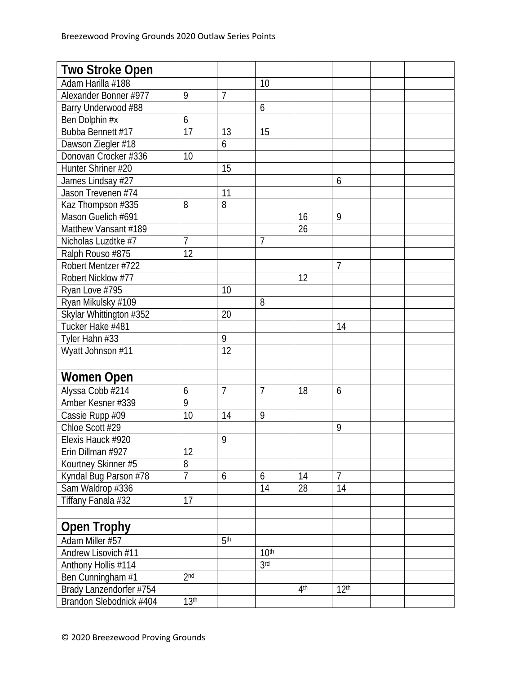| <b>Two Stroke Open</b>  |                  |                 |                   |                 |                  |  |
|-------------------------|------------------|-----------------|-------------------|-----------------|------------------|--|
| Adam Harilla #188       |                  |                 | 10                |                 |                  |  |
| Alexander Bonner #977   | 9                | $\overline{1}$  |                   |                 |                  |  |
| Barry Underwood #88     |                  |                 | 6                 |                 |                  |  |
| Ben Dolphin #x          | 6                |                 |                   |                 |                  |  |
| Bubba Bennett #17       | 17               | 13              | 15                |                 |                  |  |
| Dawson Ziegler #18      |                  | 6               |                   |                 |                  |  |
| Donovan Crocker #336    | 10               |                 |                   |                 |                  |  |
| Hunter Shriner #20      |                  | 15              |                   |                 |                  |  |
| James Lindsay #27       |                  |                 |                   |                 | 6                |  |
| Jason Trevenen #74      |                  | 11              |                   |                 |                  |  |
| Kaz Thompson #335       | 8                | 8               |                   |                 |                  |  |
| Mason Guelich #691      |                  |                 |                   | 16              | 9                |  |
| Matthew Vansant #189    |                  |                 |                   | 26              |                  |  |
| Nicholas Luzdtke #7     | $\overline{1}$   |                 | 7                 |                 |                  |  |
| Ralph Rouso #875        | 12               |                 |                   |                 |                  |  |
| Robert Mentzer #722     |                  |                 |                   |                 | $\overline{7}$   |  |
| Robert Nicklow #77      |                  |                 |                   | 12              |                  |  |
| Ryan Love #795          |                  | 10              |                   |                 |                  |  |
| Ryan Mikulsky #109      |                  |                 | 8                 |                 |                  |  |
| Skylar Whittington #352 |                  | 20              |                   |                 |                  |  |
| Tucker Hake #481        |                  |                 |                   |                 | 14               |  |
| Tyler Hahn #33          |                  | 9               |                   |                 |                  |  |
| Wyatt Johnson #11       |                  | 12              |                   |                 |                  |  |
|                         |                  |                 |                   |                 |                  |  |
| <b>Women Open</b>       |                  |                 |                   |                 |                  |  |
| Alyssa Cobb #214        | 6                | $\overline{7}$  | $\overline{7}$    | 18              | 6                |  |
| Amber Kesner #339       | 9                |                 |                   |                 |                  |  |
| Cassie Rupp #09         | 10               | 14              | 9                 |                 |                  |  |
| Chloe Scott #29         |                  |                 |                   |                 | 9                |  |
| Elexis Hauck #920       |                  | 9               |                   |                 |                  |  |
| Erin Dillman #927       | 12               |                 |                   |                 |                  |  |
| Kourtney Skinner #5     | 8                |                 |                   |                 |                  |  |
| Kyndal Bug Parson #78   | 7                | 6               | 6                 | 14              | 7                |  |
| Sam Waldrop #336        |                  |                 | 14                | 28              | 14               |  |
| Tiffany Fanala #32      | 17               |                 |                   |                 |                  |  |
|                         |                  |                 |                   |                 |                  |  |
| <b>Open Trophy</b>      |                  |                 |                   |                 |                  |  |
| Adam Miller #57         |                  | 5 <sup>th</sup> |                   |                 |                  |  |
| Andrew Lisovich #11     |                  |                 | 10 <sup>th</sup>  |                 |                  |  |
| Anthony Hollis #114     |                  |                 | $\overline{3}$ rd |                 |                  |  |
| Ben Cunningham #1       | 2 <sub>nd</sub>  |                 |                   |                 |                  |  |
| Brady Lanzendorfer #754 |                  |                 |                   | 4 <sup>th</sup> | 12 <sup>th</sup> |  |
| Brandon Slebodnick #404 | 13 <sup>th</sup> |                 |                   |                 |                  |  |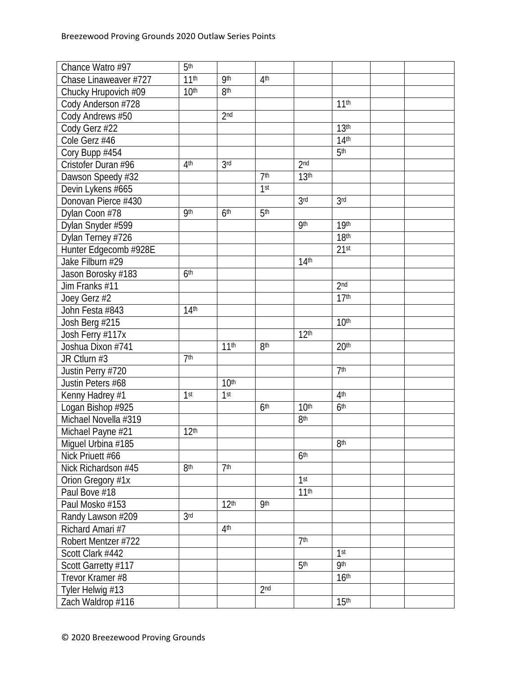| Chance Watro #97      | 5 <sup>th</sup>  |                  |                 |                  |                  |  |
|-----------------------|------------------|------------------|-----------------|------------------|------------------|--|
| Chase Linaweaver #727 | 11 <sup>th</sup> | <b>9th</b>       | 4 <sup>th</sup> |                  |                  |  |
| Chucky Hrupovich #09  | 10 <sup>th</sup> | 8 <sup>th</sup>  |                 |                  |                  |  |
| Cody Anderson #728    |                  |                  |                 |                  | 11 <sup>th</sup> |  |
| Cody Andrews #50      |                  | 2 <sub>nd</sub>  |                 |                  |                  |  |
| Cody Gerz #22         |                  |                  |                 |                  | 13 <sup>th</sup> |  |
| Cole Gerz #46         |                  |                  |                 |                  | 14 <sup>th</sup> |  |
| Cory Bupp #454        |                  |                  |                 |                  | 5 <sup>th</sup>  |  |
| Cristofer Duran #96   | 4 <sup>th</sup>  | 3 <sub>rd</sub>  |                 | 2 <sub>nd</sub>  |                  |  |
| Dawson Speedy #32     |                  |                  | 7 <sup>th</sup> | 13 <sup>th</sup> |                  |  |
| Devin Lykens #665     |                  |                  | 1 <sup>st</sup> |                  |                  |  |
| Donovan Pierce #430   |                  |                  |                 | 3 <sub>rd</sub>  | 3 <sub>rd</sub>  |  |
| Dylan Coon #78        | <b>9th</b>       | 6 <sup>th</sup>  | 5 <sup>th</sup> |                  |                  |  |
| Dylan Snyder #599     |                  |                  |                 | <b>9th</b>       | 19th             |  |
| Dylan Terney #726     |                  |                  |                 |                  | 18 <sup>th</sup> |  |
| Hunter Edgecomb #928E |                  |                  |                 |                  | 21 <sup>st</sup> |  |
| Jake Filburn #29      |                  |                  |                 | 14 <sup>th</sup> |                  |  |
| Jason Borosky #183    | 6 <sup>th</sup>  |                  |                 |                  |                  |  |
| Jim Franks #11        |                  |                  |                 |                  | 2 <sub>nd</sub>  |  |
| Joey Gerz #2          |                  |                  |                 |                  | 17 <sup>th</sup> |  |
| John Festa #843       | 14 <sup>th</sup> |                  |                 |                  |                  |  |
| Josh Berg #215        |                  |                  |                 |                  | 10 <sup>th</sup> |  |
| Josh Ferry #117x      |                  |                  |                 | 12 <sup>th</sup> |                  |  |
| Joshua Dixon #741     |                  | 11 <sup>th</sup> | 8 <sup>th</sup> |                  | 20 <sup>th</sup> |  |
| JR Ctlurn #3          | 7 <sup>th</sup>  |                  |                 |                  |                  |  |
| Justin Perry #720     |                  |                  |                 |                  | 7 <sup>th</sup>  |  |
| Justin Peters #68     |                  | 10 <sup>th</sup> |                 |                  |                  |  |
| Kenny Hadrey #1       | 1 <sup>st</sup>  | 1 <sup>st</sup>  |                 |                  | 4 <sup>th</sup>  |  |
| Logan Bishop #925     |                  |                  | 6 <sup>th</sup> | 10 <sup>th</sup> | 6 <sup>th</sup>  |  |
| Michael Novella #319  |                  |                  |                 | 8 <sup>th</sup>  |                  |  |
| Michael Payne #21     | 12 <sup>th</sup> |                  |                 |                  |                  |  |
| Miguel Urbina #185    |                  |                  |                 |                  | 8 <sup>th</sup>  |  |
| Nick Priuett #66      |                  |                  |                 | 6 <sup>th</sup>  |                  |  |
| Nick Richardson #45   | <b>8th</b>       | 7 <sup>th</sup>  |                 |                  |                  |  |
| Orion Gregory #1x     |                  |                  |                 | 1 <sup>st</sup>  |                  |  |
| Paul Bove #18         |                  |                  |                 | 11 <sup>th</sup> |                  |  |
| Paul Mosko #153       |                  | 12 <sup>th</sup> | <b>9th</b>      |                  |                  |  |
| Randy Lawson #209     | 3 <sub>rd</sub>  |                  |                 |                  |                  |  |
| Richard Amari #7      |                  | 4 <sup>th</sup>  |                 |                  |                  |  |
| Robert Mentzer #722   |                  |                  |                 | 7 <sup>th</sup>  |                  |  |
| Scott Clark #442      |                  |                  |                 |                  | 1 <sup>st</sup>  |  |
| Scott Garretty #117   |                  |                  |                 | 5 <sup>th</sup>  | <b>9th</b>       |  |
| Trevor Kramer #8      |                  |                  |                 |                  | 16 <sup>th</sup> |  |
| Tyler Helwig #13      |                  |                  | 2 <sub>nd</sub> |                  |                  |  |
| Zach Waldrop #116     |                  |                  |                 |                  | 15 <sup>th</sup> |  |
|                       |                  |                  |                 |                  |                  |  |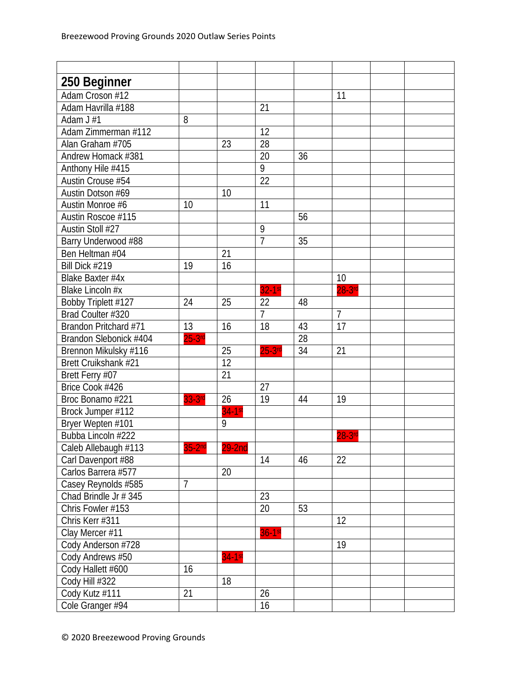| 250 Beginner           |           |          |                |    |                |  |
|------------------------|-----------|----------|----------------|----|----------------|--|
| Adam Croson #12        |           |          |                |    | 11             |  |
| Adam Havrilla #188     |           |          | 21             |    |                |  |
| Adam J #1              | 8         |          |                |    |                |  |
| Adam Zimmerman #112    |           |          | 12             |    |                |  |
| Alan Graham #705       |           | 23       | 28             |    |                |  |
| Andrew Homack #381     |           |          | 20             | 36 |                |  |
| Anthony Hile #415      |           |          | $\overline{9}$ |    |                |  |
| Austin Crouse #54      |           |          | 22             |    |                |  |
| Austin Dotson #69      |           | 10       |                |    |                |  |
| Austin Monroe #6       | 10        |          | 11             |    |                |  |
| Austin Roscoe #115     |           |          |                | 56 |                |  |
| Austin Stoll #27       |           |          | 9              |    |                |  |
| Barry Underwood #88    |           |          | 7              | 35 |                |  |
| Ben Heltman #04        |           | 21       |                |    |                |  |
| Bill Dick #219         | 19        | 16       |                |    |                |  |
| Blake Baxter #4x       |           |          |                |    | 10             |  |
| Blake Lincoln #x       |           |          | $32-1st$       |    | $28-3$ rd      |  |
| Bobby Triplett #127    | 24        | 25       | 22             | 48 |                |  |
| Brad Coulter #320      |           |          | $\overline{7}$ |    | $\overline{7}$ |  |
| Brandon Pritchard #71  | 13        | 16       | 18             | 43 | 17             |  |
| Brandon Slebonick #404 | $25-3$ rd |          |                | 28 |                |  |
| Brennon Mikulsky #116  |           | 25       | $25-3$ rd      | 34 | 21             |  |
| Brett Cruikshank #21   |           | 12       |                |    |                |  |
| Brett Ferry #07        |           | 21       |                |    |                |  |
| Brice Cook #426        |           |          | 27             |    |                |  |
| Broc Bonamo #221       | 33-3rd    | 26       | 19             | 44 | 19             |  |
| Brock Jumper #112      |           | $34-1st$ |                |    |                |  |
| Bryer Wepten #101      |           | 9        |                |    |                |  |
| Bubba Lincoln #222     |           |          |                |    | $28-3$ rd      |  |
| Caleb Allebaugh #113   | $35-2nd$  | $29-2nd$ |                |    |                |  |
| Carl Davenport #88     |           |          | 14             | 46 | 22             |  |
| Carlos Barrera #577    |           | 20       |                |    |                |  |
| Casey Reynolds #585    | 7         |          |                |    |                |  |
| Chad Brindle Jr # 345  |           |          | 23             |    |                |  |
| Chris Fowler #153      |           |          | 20             | 53 |                |  |
| Chris Kerr #311        |           |          |                |    | 12             |  |
| Clay Mercer #11        |           |          | $36-1st$       |    |                |  |
| Cody Anderson #728     |           |          |                |    | 19             |  |
| Cody Andrews #50       |           | $34-1st$ |                |    |                |  |
| Cody Hallett #600      | 16        |          |                |    |                |  |
| Cody Hill #322         |           | 18       |                |    |                |  |
| Cody Kutz #111         | 21        |          | 26             |    |                |  |
| Cole Granger #94       |           |          | 16             |    |                |  |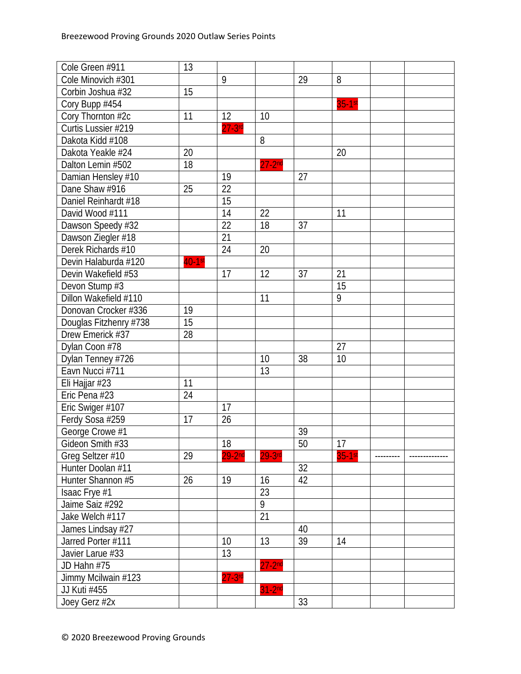| Cole Green #911        | 13        |            |                |    |           |  |
|------------------------|-----------|------------|----------------|----|-----------|--|
| Cole Minovich #301     |           | 9          |                | 29 | 8         |  |
| Corbin Joshua #32      | 15        |            |                |    |           |  |
| Cory Bupp #454         |           |            |                |    | $35-1$ st |  |
| Cory Thornton #2c      | 11        | 12         | 10             |    |           |  |
| Curtis Lussier #219    |           | $27-3$ rd  |                |    |           |  |
| Dakota Kidd #108       |           |            | 8              |    |           |  |
| Dakota Yeakle #24      | 20        |            |                |    | 20        |  |
| Dalton Lemin #502      | 18        |            | $27 - 2nd$     |    |           |  |
| Damian Hensley #10     |           | 19         |                | 27 |           |  |
| Dane Shaw #916         | 25        | 22         |                |    |           |  |
| Daniel Reinhardt #18   |           | 15         |                |    |           |  |
| David Wood #111        |           | 14         | 22             |    | 11        |  |
| Dawson Speedy #32      |           | 22         | 18             | 37 |           |  |
| Dawson Ziegler #18     |           | 21         |                |    |           |  |
| Derek Richards #10     |           | 24         | 20             |    |           |  |
| Devin Halaburda #120   | $40-1$ st |            |                |    |           |  |
| Devin Wakefield #53    |           | 17         | 12             | 37 | 21        |  |
| Devon Stump #3         |           |            |                |    | 15        |  |
| Dillon Wakefield #110  |           |            | 11             |    | 9         |  |
| Donovan Crocker #336   | 19        |            |                |    |           |  |
| Douglas Fitzhenry #738 | 15        |            |                |    |           |  |
| Drew Emerick #37       | 28        |            |                |    |           |  |
| Dylan Coon #78         |           |            |                |    | 27        |  |
| Dylan Tenney #726      |           |            | 10             | 38 | 10        |  |
| Eavn Nucci #711        |           |            | 13             |    |           |  |
| Eli Hajjar #23         | 11        |            |                |    |           |  |
| Eric Pena #23          | 24        |            |                |    |           |  |
| Eric Swiger #107       |           | 17         |                |    |           |  |
| Ferdy Sosa #259        | 17        | 26         |                |    |           |  |
| George Crowe #1        |           |            |                | 39 |           |  |
| Gideon Smith #33       |           | 18         |                | 50 | 17        |  |
| Greg Seltzer #10       | 29        | $29 - 2nd$ | $29-3$ rd      |    | $35-1st$  |  |
| Hunter Doolan #11      |           |            |                | 32 |           |  |
| Hunter Shannon #5      | 26        | 19         | 16             | 42 |           |  |
| Isaac Frye #1          |           |            | 23             |    |           |  |
| Jaime Saiz #292        |           |            | $\overline{9}$ |    |           |  |
| Jake Welch #117        |           |            | 21             |    |           |  |
| James Lindsay #27      |           |            |                | 40 |           |  |
| Jarred Porter #111     |           | 10         | 13             | 39 | 14        |  |
| Javier Larue #33       |           | 13         |                |    |           |  |
| JD Hahn #75            |           |            | $27 - 2nd$     |    |           |  |
| Jimmy Mcilwain #123    |           | $27-3$ rd  |                |    |           |  |
| JJ Kuti #455           |           |            | $31-2nd$       |    |           |  |
| Joey Gerz #2x          |           |            |                | 33 |           |  |
|                        |           |            |                |    |           |  |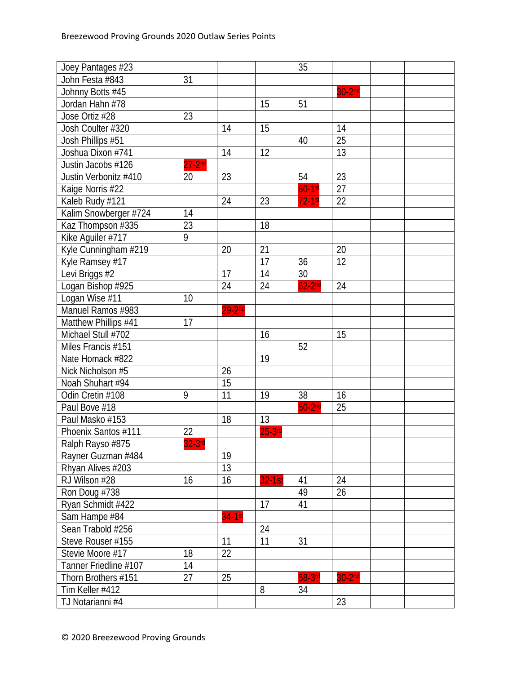| Joey Pantages #23     |          |            |           | 35        |                    |  |
|-----------------------|----------|------------|-----------|-----------|--------------------|--|
| John Festa #843       | 31       |            |           |           |                    |  |
| Johnny Botts #45      |          |            |           |           | 30-2 <sup>nd</sup> |  |
| Jordan Hahn #78       |          |            | 15        | 51        |                    |  |
| Jose Ortiz #28        | 23       |            |           |           |                    |  |
| Josh Coulter #320     |          | 14         | 15        |           | 14                 |  |
| Josh Phillips #51     |          |            |           | 40        | 25                 |  |
| Joshua Dixon #741     |          | 14         | 12        |           | 13                 |  |
| Justin Jacobs #126    | $27-2nd$ |            |           |           |                    |  |
| Justin Verbonitz #410 | 20       | 23         |           | 54        | 23                 |  |
| Kaige Norris #22      |          |            |           | $60-1$ st | 27                 |  |
| Kaleb Rudy #121       |          | 24         | 23        | $72-1$ st | 22                 |  |
| Kalim Snowberger #724 | 14       |            |           |           |                    |  |
| Kaz Thompson #335     | 23       |            | 18        |           |                    |  |
| Kike Aguiler #717     | 9        |            |           |           |                    |  |
| Kyle Cunningham #219  |          | 20         | 21        |           | 20                 |  |
| Kyle Ramsey #17       |          |            | 17        | 36        | 12                 |  |
| Levi Briggs #2        |          | 17         | 14        | 30        |                    |  |
| Logan Bishop #925     |          | 24         | 24        | $62-2nd$  | 24                 |  |
| Logan Wise #11        | 10       |            |           |           |                    |  |
| Manuel Ramos #983     |          | $29 - 2nd$ |           |           |                    |  |
| Matthew Phillips #41  | 17       |            |           |           |                    |  |
| Michael Stull #702    |          |            | 16        |           | 15                 |  |
| Miles Francis #151    |          |            |           | 52        |                    |  |
| Nate Homack #822      |          |            | 19        |           |                    |  |
| Nick Nicholson #5     |          | 26         |           |           |                    |  |
| Noah Shuhart #94      |          | 15         |           |           |                    |  |
| Odin Cretin #108      | 9        | 11         | 19        | 38        | 16                 |  |
| Paul Bove #18         |          |            |           | $50-2nd$  | 25                 |  |
| Paul Masko #153       |          | 18         | 13        |           |                    |  |
| Phoenix Santos #111   | 22       |            | $25-3$ rd |           |                    |  |
| Ralph Rayso #875      | $32-3rd$ |            |           |           |                    |  |
| Rayner Guzman #484    |          | 19         |           |           |                    |  |
| Rhyan Alives #203     |          | 13         |           |           |                    |  |
| RJ Wilson #28         | 16       | 16         | $32-1st$  | 41        | 24                 |  |
| Ron Doug #738         |          |            |           | 49        | 26                 |  |
| Ryan Schmidt #422     |          |            | 17        | 41        |                    |  |
| Sam Hampe #84         |          | $34-1st$   |           |           |                    |  |
| Sean Trabold #256     |          |            | 24        |           |                    |  |
| Steve Rouser #155     |          | 11         | 11        | 31        |                    |  |
| Stevie Moore #17      | 18       | 22         |           |           |                    |  |
| Tanner Friedline #107 | 14       |            |           |           |                    |  |
| Thorn Brothers #151   | 27       | 25         |           | 58-3rd    | 30-2 <sup>nd</sup> |  |
| Tim Keller #412       |          |            | 8         | 34        |                    |  |
| TJ Notarianni #4      |          |            |           |           | 23                 |  |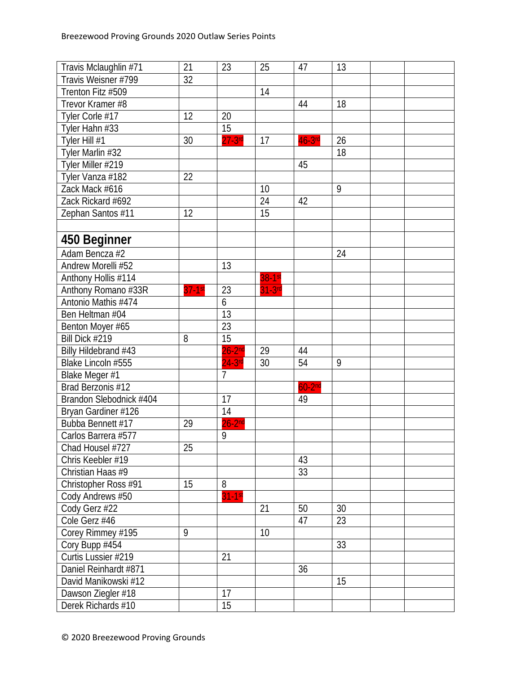| Travis Mclaughlin #71   | 21        | 23              | 25       | 47        | 13 |  |
|-------------------------|-----------|-----------------|----------|-----------|----|--|
| Travis Weisner #799     | 32        |                 |          |           |    |  |
| Trenton Fitz #509       |           |                 | 14       |           |    |  |
| Trevor Kramer #8        |           |                 |          | 44        | 18 |  |
| Tyler Corle #17         | 12        | 20              |          |           |    |  |
| Tyler Hahn #33          |           | $\overline{15}$ |          |           |    |  |
| Tyler Hill #1           | 30        | $27-3$ rd       | 17       | $46-3$ rd | 26 |  |
| Tyler Marlin #32        |           |                 |          |           | 18 |  |
| Tyler Miller #219       |           |                 |          | 45        |    |  |
| Tyler Vanza #182        | 22        |                 |          |           |    |  |
| Zack Mack #616          |           |                 | 10       |           | 9  |  |
| Zack Rickard #692       |           |                 | 24       | 42        |    |  |
| Zephan Santos #11       | 12        |                 | 15       |           |    |  |
|                         |           |                 |          |           |    |  |
| 450 Beginner            |           |                 |          |           |    |  |
| Adam Bencza #2          |           |                 |          |           | 24 |  |
| Andrew Morelli #52      |           | 13              |          |           |    |  |
| Anthony Hollis #114     |           |                 | 38-1st   |           |    |  |
| Anthony Romano #33R     | $37-1$ st | 23              | $31-3rd$ |           |    |  |
| Antonio Mathis #474     |           | 6               |          |           |    |  |
| Ben Heltman #04         |           | 13              |          |           |    |  |
| Benton Moyer #65        |           | 23              |          |           |    |  |
| Bill Dick #219          | 8         | 15              |          |           |    |  |
| Billy Hildebrand #43    |           | $26-2nd$        | 29       | 44        |    |  |
| Blake Lincoln #555      |           | $24-3$ rd       | 30       | 54        | 9  |  |
| Blake Meger #1          |           | $\overline{7}$  |          |           |    |  |
| Brad Berzonis #12       |           |                 |          | $60-2nd$  |    |  |
| Brandon Slebodnick #404 |           | 17              |          | 49        |    |  |
| Bryan Gardiner #126     |           | 14              |          |           |    |  |
| Bubba Bennett #17       | 29        | $26-2nd$        |          |           |    |  |
| Carlos Barrera #577     |           | 9               |          |           |    |  |
| Chad Housel #727        | 25        |                 |          |           |    |  |
| Chris Keebler #19       |           |                 |          | 43        |    |  |
| Christian Haas #9       |           |                 |          | 33        |    |  |
| Christopher Ross #91    | 15        | 8               |          |           |    |  |
| Cody Andrews #50        |           | $31 - 1$ st     |          |           |    |  |
| Cody Gerz #22           |           |                 | 21       | 50        | 30 |  |
| Cole Gerz #46           |           |                 |          | 47        | 23 |  |
| Corey Rimmey #195       | 9         |                 | 10       |           |    |  |
| Cory Bupp #454          |           |                 |          |           | 33 |  |
| Curtis Lussier #219     |           | 21              |          |           |    |  |
| Daniel Reinhardt #871   |           |                 |          | 36        |    |  |
| David Manikowski #12    |           |                 |          |           | 15 |  |
| Dawson Ziegler #18      |           | 17              |          |           |    |  |
| Derek Richards #10      |           | 15              |          |           |    |  |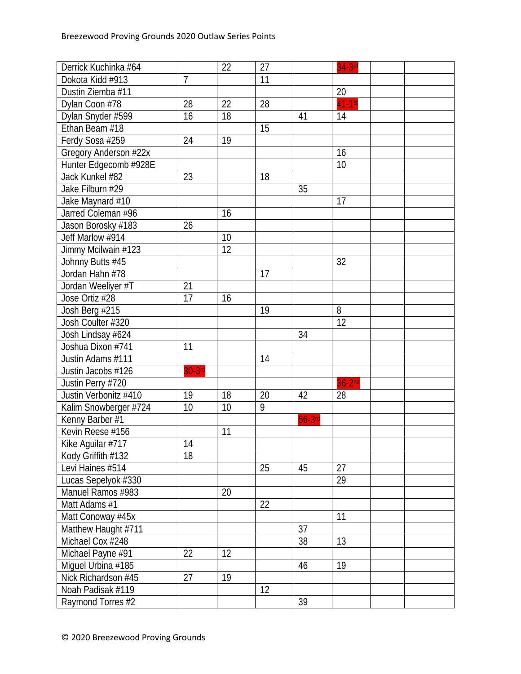| Derrick Kuchinka #64  |                | 22 | 27 |           | $34-3$ rd            |
|-----------------------|----------------|----|----|-----------|----------------------|
| Dokota Kidd #913      | $\overline{1}$ |    | 11 |           |                      |
| Dustin Ziemba #11     |                |    |    |           | 20                   |
| Dylan Coon #78        | 28             | 22 | 28 |           | $\overline{41-1}$ st |
| Dylan Snyder #599     | 16             | 18 |    | 41        | 14                   |
| Ethan Beam #18        |                |    | 15 |           |                      |
| Ferdy Sosa #259       | 24             | 19 |    |           |                      |
| Gregory Anderson #22x |                |    |    |           | 16                   |
| Hunter Edgecomb #928E |                |    |    |           | 10                   |
| Jack Kunkel #82       | 23             |    | 18 |           |                      |
| Jake Filburn #29      |                |    |    | 35        |                      |
| Jake Maynard #10      |                |    |    |           | 17                   |
| Jarred Coleman #96    |                | 16 |    |           |                      |
| Jason Borosky #183    | 26             |    |    |           |                      |
| Jeff Marlow #914      |                | 10 |    |           |                      |
| Jimmy Mcilwain #123   |                | 12 |    |           |                      |
| Johnny Butts #45      |                |    |    |           | 32                   |
| Jordan Hahn #78       |                |    | 17 |           |                      |
| Jordan Weeliyer #T    | 21             |    |    |           |                      |
| Jose Ortiz #28        | 17             | 16 |    |           |                      |
| Josh Berg #215        |                |    | 19 |           | 8                    |
| Josh Coulter #320     |                |    |    |           | $\overline{12}$      |
| Josh Lindsay #624     |                |    |    | 34        |                      |
| Joshua Dixon #741     | 11             |    |    |           |                      |
| Justin Adams #111     |                |    | 14 |           |                      |
| Justin Jacobs #126    | $30-3$ rd      |    |    |           |                      |
| Justin Perry #720     |                |    |    |           | $36-2nd$             |
| Justin Verbonitz #410 | 19             | 18 | 20 | 42        | 28                   |
| Kalim Snowberger #724 | 10             | 10 | 9  |           |                      |
| Kenny Barber #1       |                |    |    | $56-3$ rd |                      |
| Kevin Reese #156      |                | 11 |    |           |                      |
| Kike Aguilar #717     | 14             |    |    |           |                      |
| Kody Griffith #132    | 18             |    |    |           |                      |
| Levi Haines #514      |                |    | 25 | 45        | 27                   |
| Lucas Sepelyok #330   |                |    |    |           | 29                   |
| Manuel Ramos #983     |                | 20 |    |           |                      |
| Matt Adams #1         |                |    | 22 |           |                      |
| Matt Conoway #45x     |                |    |    |           | 11                   |
| Matthew Haught #711   |                |    |    | 37        |                      |
| Michael Cox #248      |                |    |    | 38        | 13                   |
| Michael Payne #91     | 22             | 12 |    |           |                      |
| Miguel Urbina #185    |                |    |    | 46        | 19                   |
| Nick Richardson #45   | 27             | 19 |    |           |                      |
| Noah Padisak #119     |                |    | 12 |           |                      |
| Raymond Torres #2     |                |    |    | 39        |                      |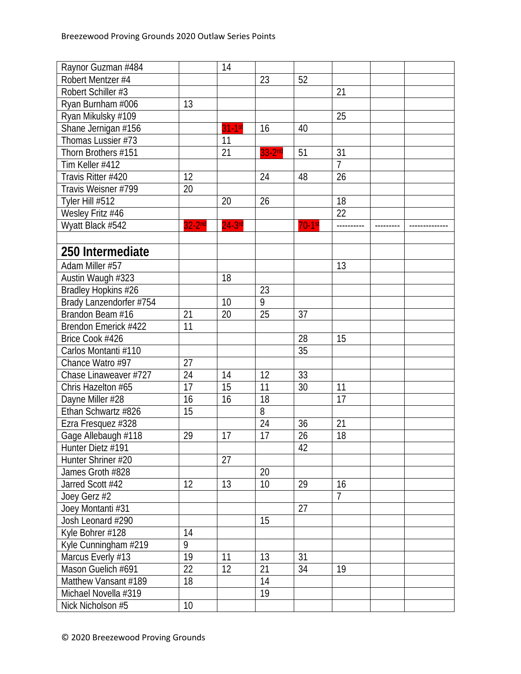| Raynor Guzman #484      |          | 14        |          |           |                 |  |
|-------------------------|----------|-----------|----------|-----------|-----------------|--|
| Robert Mentzer #4       |          |           | 23       | 52        |                 |  |
| Robert Schiller #3      |          |           |          |           | 21              |  |
| Ryan Burnham #006       | 13       |           |          |           |                 |  |
| Ryan Mikulsky #109      |          |           |          |           | 25              |  |
| Shane Jernigan #156     |          | $31-1st$  | 16       | 40        |                 |  |
| Thomas Lussier #73      |          | 11        |          |           |                 |  |
| Thorn Brothers #151     |          | 21        | $33-2nd$ | 51        | 31              |  |
| Tim Keller #412         |          |           |          |           | $\overline{7}$  |  |
| Travis Ritter #420      | 12       |           | 24       | 48        | 26              |  |
| Travis Weisner #799     | 20       |           |          |           |                 |  |
| Tyler Hill #512         |          | 20        | 26       |           | 18              |  |
| Wesley Fritz #46        |          |           |          |           | $\overline{22}$ |  |
| Wyatt Black #542        | $32-2nd$ | $24-3$ rd |          | $70-1$ st |                 |  |
|                         |          |           |          |           |                 |  |
| 250 Intermediate        |          |           |          |           |                 |  |
| Adam Miller #57         |          |           |          |           | 13              |  |
| Austin Waugh #323       |          | 18        |          |           |                 |  |
| Bradley Hopkins #26     |          |           | 23       |           |                 |  |
| Brady Lanzendorfer #754 |          | 10        | 9        |           |                 |  |
| Brandon Beam #16        | 21       | 20        | 25       | 37        |                 |  |
| Brendon Emerick #422    | 11       |           |          |           |                 |  |
| Brice Cook #426         |          |           |          | 28        | 15              |  |
| Carlos Montanti #110    |          |           |          | 35        |                 |  |
| Chance Watro #97        | 27       |           |          |           |                 |  |
| Chase Linaweaver #727   | 24       | 14        | 12       | 33        |                 |  |
| Chris Hazelton #65      | 17       | 15        | 11       | 30        | 11              |  |
| Dayne Miller #28        | 16       | 16        | 18       |           | 17              |  |
| Ethan Schwartz #826     | 15       |           | 8        |           |                 |  |
| Ezra Fresquez #328      |          |           | 24       | 36        | 21              |  |
| Gage Allebaugh #118     | 29       | 17        | 17       | 26        | 18              |  |
| Hunter Dietz #191       |          |           |          | 42        |                 |  |
| Hunter Shriner #20      |          | 27        |          |           |                 |  |
| James Groth #828        |          |           | 20       |           |                 |  |
| Jarred Scott #42        | 12       | 13        | 10       | 29        | 16              |  |
| Joey Gerz #2            |          |           |          |           | $\overline{7}$  |  |
| Joey Montanti #31       |          |           |          | 27        |                 |  |
| Josh Leonard #290       |          |           | 15       |           |                 |  |
| Kyle Bohrer #128        | 14       |           |          |           |                 |  |
| Kyle Cunningham #219    | 9        |           |          |           |                 |  |
| Marcus Everly #13       | 19       | 11        | 13       | 31        |                 |  |
| Mason Guelich #691      | 22       | 12        | 21       | 34        | 19              |  |
| Matthew Vansant #189    | 18       |           | 14       |           |                 |  |
| Michael Novella #319    |          |           | 19       |           |                 |  |
| Nick Nicholson #5       | 10       |           |          |           |                 |  |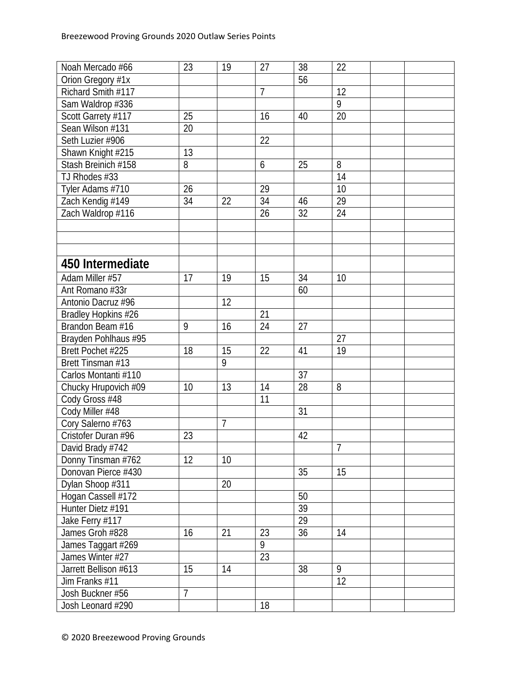| Noah Mercado #66      | 23 | 19             | 27             | 38              | 22             |  |
|-----------------------|----|----------------|----------------|-----------------|----------------|--|
| Orion Gregory #1x     |    |                |                | 56              |                |  |
| Richard Smith #117    |    |                | $\overline{7}$ |                 | 12             |  |
| Sam Waldrop #336      |    |                |                |                 | $\overline{9}$ |  |
| Scott Garrety #117    | 25 |                | 16             | 40              | 20             |  |
| Sean Wilson #131      | 20 |                |                |                 |                |  |
| Seth Luzier #906      |    |                | 22             |                 |                |  |
| Shawn Knight #215     | 13 |                |                |                 |                |  |
| Stash Breinich #158   | 8  |                | 6              | 25              | 8              |  |
| TJ Rhodes #33         |    |                |                |                 | 14             |  |
| Tyler Adams #710      | 26 |                | 29             |                 | 10             |  |
| Zach Kendig #149      | 34 | 22             | 34             | 46              | 29             |  |
| Zach Waldrop #116     |    |                | 26             | 32              | 24             |  |
|                       |    |                |                |                 |                |  |
|                       |    |                |                |                 |                |  |
|                       |    |                |                |                 |                |  |
| 450 Intermediate      |    |                |                |                 |                |  |
|                       |    |                |                |                 |                |  |
| Adam Miller #57       | 17 | 19             | 15             | 34              | 10             |  |
| Ant Romano #33r       |    |                |                | 60              |                |  |
| Antonio Dacruz #96    |    | 12             |                |                 |                |  |
| Bradley Hopkins #26   |    |                | 21             |                 |                |  |
| Brandon Beam #16      | 9  | 16             | 24             | 27              |                |  |
| Brayden Pohlhaus #95  |    |                |                |                 | 27             |  |
| Brett Pochet #225     | 18 | 15             | 22             | 41              | 19             |  |
| Brett Tinsman #13     |    | 9              |                |                 |                |  |
| Carlos Montanti #110  |    |                |                | 37              |                |  |
| Chucky Hrupovich #09  | 10 | 13             | 14             | 28              | 8              |  |
| Cody Gross #48        |    |                | 11             |                 |                |  |
| Cody Miller #48       |    |                |                | 31              |                |  |
| Cory Salerno #763     |    | $\overline{1}$ |                |                 |                |  |
| Cristofer Duran #96   | 23 |                |                | 42              |                |  |
| David Brady #742      |    |                |                |                 | $\overline{7}$ |  |
| Donny Tinsman #762    | 12 | 10             |                |                 |                |  |
| Donovan Pierce #430   |    |                |                | 35              | 15             |  |
| Dylan Shoop #311      |    | 20             |                |                 |                |  |
| Hogan Cassell #172    |    |                |                | 50              |                |  |
| Hunter Dietz #191     |    |                |                | $\overline{39}$ |                |  |
| Jake Ferry #117       |    |                |                | 29              |                |  |
| James Groh #828       | 16 | 21             | 23             | 36              | 14             |  |
| James Taggart #269    |    |                | 9              |                 |                |  |
| James Winter #27      |    |                | 23             |                 |                |  |
| Jarrett Bellison #613 | 15 | 14             |                | 38              | 9              |  |
| Jim Franks #11        |    |                |                |                 | 12             |  |
| Josh Buckner #56      | 7  |                |                |                 |                |  |
| Josh Leonard #290     |    |                | 18             |                 |                |  |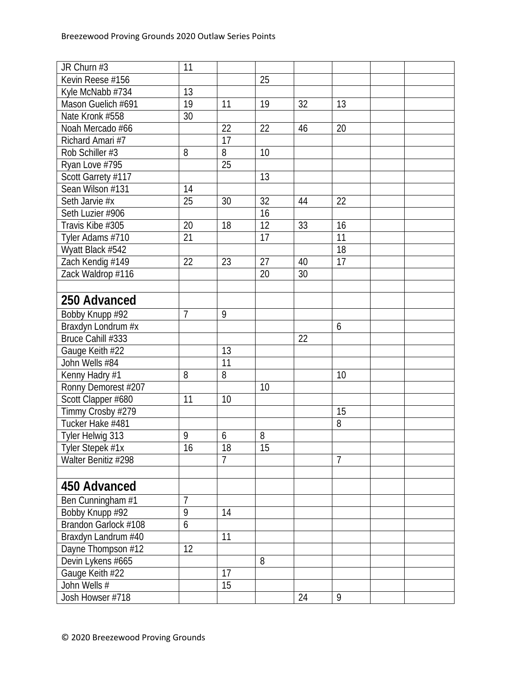| JR Churn #3          | 11             |                 |    |    |                |  |
|----------------------|----------------|-----------------|----|----|----------------|--|
| Kevin Reese #156     |                |                 | 25 |    |                |  |
| Kyle McNabb #734     | 13             |                 |    |    |                |  |
| Mason Guelich #691   | 19             | 11              | 19 | 32 | 13             |  |
| Nate Kronk #558      | 30             |                 |    |    |                |  |
| Noah Mercado #66     |                | 22              | 22 | 46 | 20             |  |
| Richard Amari #7     |                | 17              |    |    |                |  |
| Rob Schiller #3      | 8              | 8               | 10 |    |                |  |
| Ryan Love #795       |                | 25              |    |    |                |  |
| Scott Garrety #117   |                |                 | 13 |    |                |  |
| Sean Wilson #131     | 14             |                 |    |    |                |  |
| Seth Jarvie #x       | 25             | 30              | 32 | 44 | 22             |  |
| Seth Luzier #906     |                |                 | 16 |    |                |  |
| Travis Kibe #305     | 20             | 18              | 12 | 33 | 16             |  |
| Tyler Adams #710     | 21             |                 | 17 |    | 11             |  |
| Wyatt Black #542     |                |                 |    |    | 18             |  |
| Zach Kendig #149     | 22             | 23              | 27 | 40 | 17             |  |
| Zack Waldrop #116    |                |                 | 20 | 30 |                |  |
|                      |                |                 |    |    |                |  |
| 250 Advanced         |                |                 |    |    |                |  |
| Bobby Knupp #92      | $\overline{7}$ | 9               |    |    |                |  |
| Braxdyn Londrum #x   |                |                 |    |    | 6              |  |
| Bruce Cahill #333    |                |                 |    | 22 |                |  |
| Gauge Keith #22      |                | 13              |    |    |                |  |
| John Wells #84       |                | $\overline{11}$ |    |    |                |  |
| Kenny Hadry #1       | 8              | 8               |    |    | 10             |  |
| Ronny Demorest #207  |                |                 | 10 |    |                |  |
| Scott Clapper #680   | 11             | 10              |    |    |                |  |
| Timmy Crosby #279    |                |                 |    |    | 15             |  |
| Tucker Hake #481     |                |                 |    |    | 8              |  |
| Tyler Helwig 313     | 9              | 6               | 8  |    |                |  |
| Tyler Stepek #1x     | 16             | 18              | 15 |    |                |  |
| Walter Benitiz #298  |                | $\overline{1}$  |    |    | $\overline{7}$ |  |
|                      |                |                 |    |    |                |  |
| 450 Advanced         |                |                 |    |    |                |  |
| Ben Cunningham #1    | $\overline{1}$ |                 |    |    |                |  |
| Bobby Knupp #92      | 9              | 14              |    |    |                |  |
| Brandon Garlock #108 | 6              |                 |    |    |                |  |
| Braxdyn Landrum #40  |                | 11              |    |    |                |  |
| Dayne Thompson #12   | 12             |                 |    |    |                |  |
| Devin Lykens #665    |                |                 | 8  |    |                |  |
| Gauge Keith #22      |                | 17              |    |    |                |  |
| John Wells #         |                | 15              |    |    |                |  |
| Josh Howser #718     |                |                 |    | 24 | 9              |  |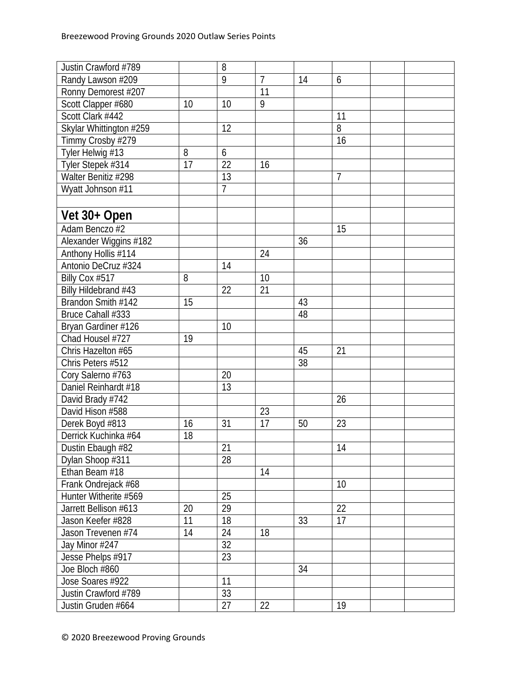| Justin Crawford #789    |    | 8               |                |    |                |  |
|-------------------------|----|-----------------|----------------|----|----------------|--|
| Randy Lawson #209       |    | $\overline{9}$  | $\overline{7}$ | 14 | 6              |  |
| Ronny Demorest #207     |    |                 | 11             |    |                |  |
| Scott Clapper #680      | 10 | 10              | 9              |    |                |  |
| Scott Clark #442        |    |                 |                |    | 11             |  |
| Skylar Whittington #259 |    | 12              |                |    | 8              |  |
| Timmy Crosby #279       |    |                 |                |    | 16             |  |
| Tyler Helwig #13        | 8  | 6               |                |    |                |  |
| Tyler Stepek #314       | 17 | 22              | 16             |    |                |  |
| Walter Benitiz #298     |    | 13              |                |    | $\overline{7}$ |  |
| Wyatt Johnson #11       |    | $\overline{7}$  |                |    |                |  |
|                         |    |                 |                |    |                |  |
| Vet 30+ Open            |    |                 |                |    |                |  |
| Adam Benczo #2          |    |                 |                |    | 15             |  |
| Alexander Wiggins #182  |    |                 |                | 36 |                |  |
| Anthony Hollis #114     |    |                 | 24             |    |                |  |
| Antonio DeCruz #324     |    | 14              |                |    |                |  |
| Billy Cox #517          | 8  |                 | 10             |    |                |  |
| Billy Hildebrand #43    |    | 22              | 21             |    |                |  |
| Brandon Smith #142      | 15 |                 |                | 43 |                |  |
| Bruce Cahall #333       |    |                 |                | 48 |                |  |
| Bryan Gardiner #126     |    | 10              |                |    |                |  |
| Chad Housel #727        | 19 |                 |                |    |                |  |
| Chris Hazelton #65      |    |                 |                | 45 | 21             |  |
| Chris Peters #512       |    |                 |                | 38 |                |  |
| Cory Salerno #763       |    | 20              |                |    |                |  |
| Daniel Reinhardt #18    |    | 13              |                |    |                |  |
| David Brady #742        |    |                 |                |    | 26             |  |
| David Hison #588        |    |                 | 23             |    |                |  |
| Derek Boyd #813         | 16 | 31              | 17             | 50 | 23             |  |
| Derrick Kuchinka #64    | 18 |                 |                |    |                |  |
| Dustin Ebaugh #82       |    | 21              |                |    | 14             |  |
| Dylan Shoop #311        |    | 28              |                |    |                |  |
| Ethan Beam #18          |    |                 | 14             |    |                |  |
| Frank Ondrejack #68     |    |                 |                |    | 10             |  |
| Hunter Witherite #569   |    | 25              |                |    |                |  |
| Jarrett Bellison #613   | 20 | 29              |                |    | 22             |  |
| Jason Keefer #828       | 11 | 18              |                | 33 | 17             |  |
| Jason Trevenen #74      | 14 | 24              | 18             |    |                |  |
| Jay Minor #247          |    | 32              |                |    |                |  |
| Jesse Phelps #917       |    | $\overline{23}$ |                |    |                |  |
| Joe Bloch #860          |    |                 |                | 34 |                |  |
| Jose Soares #922        |    | 11              |                |    |                |  |
| Justin Crawford #789    |    | 33              |                |    |                |  |
| Justin Gruden #664      |    | 27              | 22             |    | 19             |  |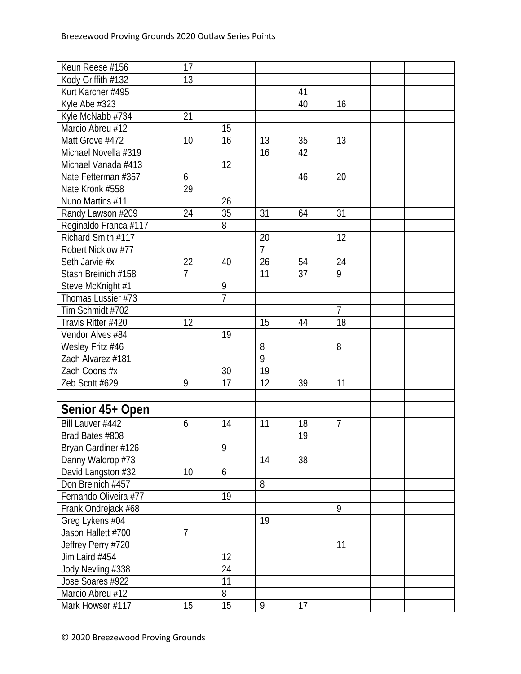| Keun Reese #156<br>17                                                                         |  |
|-----------------------------------------------------------------------------------------------|--|
| Kody Griffith #132<br>13                                                                      |  |
| Kurt Karcher #495<br>41                                                                       |  |
| Kyle Abe #323<br>16<br>40                                                                     |  |
| 21<br>Kyle McNabb #734                                                                        |  |
| Marcio Abreu #12<br>15                                                                        |  |
| Matt Grove #472<br>16<br>13<br>10<br>13<br>35                                                 |  |
| Michael Novella #319<br>16<br>42                                                              |  |
| 12<br>Michael Vanada #413                                                                     |  |
| Nate Fetterman #357<br>20<br>6<br>46                                                          |  |
| Nate Kronk #558<br>29                                                                         |  |
| Nuno Martins #11<br>26                                                                        |  |
| 35<br>24<br>31<br>31<br>Randy Lawson #209<br>64                                               |  |
| 8<br>Reginaldo Franca #117                                                                    |  |
| Richard Smith #117<br>12<br>20                                                                |  |
| $\overline{7}$<br>Robert Nicklow #77                                                          |  |
| 22<br>24<br>Seth Jarvie #x<br>40<br>26<br>54                                                  |  |
| $\overline{9}$<br>Stash Breinich #158<br>$\overline{11}$<br>$\overline{37}$<br>$\overline{7}$ |  |
| 9<br>Steve McKnight #1                                                                        |  |
| $\overline{7}$<br>Thomas Lussier #73                                                          |  |
| $\overline{7}$<br>Tim Schmidt #702                                                            |  |
| $\overline{18}$<br>Travis Ritter #420<br>12<br>15<br>44                                       |  |
| Vendor Alves #84<br>19                                                                        |  |
| 8<br>8<br>Wesley Fritz #46                                                                    |  |
| Zach Alvarez #181<br>9                                                                        |  |
| 19<br>Zach Coons #x<br>30                                                                     |  |
| 9<br>17<br>12<br>11<br>Zeb Scott #629<br>39                                                   |  |
|                                                                                               |  |
| Senior 45+ Open                                                                               |  |
| $\overline{7}$<br>Bill Lauver #442<br>18<br>6<br>14<br>11                                     |  |
| Brad Bates #808<br>19                                                                         |  |
| Bryan Gardiner #126<br>9                                                                      |  |
| 38<br>Danny Waldrop #73<br>14                                                                 |  |
| David Langston #32<br>10<br>6                                                                 |  |
| 8<br>Don Breinich #457                                                                        |  |
| Fernando Oliveira #77<br>19                                                                   |  |
| Frank Ondrejack #68<br>9                                                                      |  |
| 19<br>Greg Lykens #04                                                                         |  |
| 7<br>Jason Hallett #700                                                                       |  |
| Jeffrey Perry #720<br>11                                                                      |  |
| 12<br>Jim Laird #454                                                                          |  |
| Jody Nevling #338<br>24                                                                       |  |
| 11<br>Jose Soares #922                                                                        |  |
| Marcio Abreu #12<br>8                                                                         |  |
| 15<br>Mark Howser #117<br>17<br>15<br>9                                                       |  |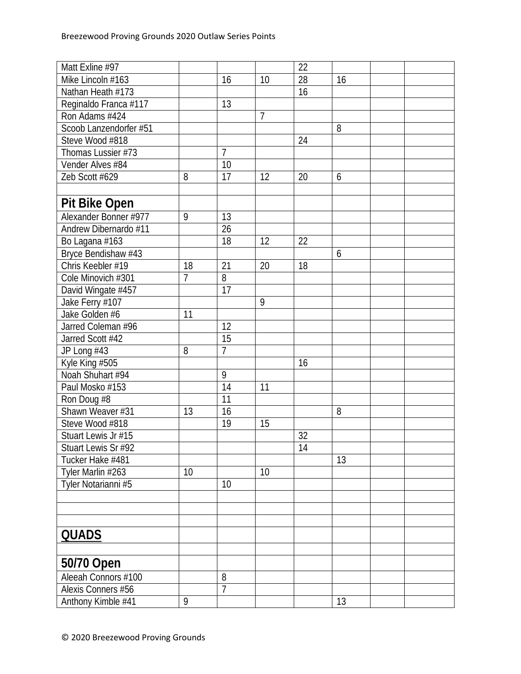| Mike Lincoln #163<br>28<br>10<br>16<br>16<br>16<br>Nathan Heath #173<br>Reginaldo Franca #117<br>13<br>Ron Adams #424<br>7<br>Scoob Lanzendorfer #51<br>8<br>Steve Wood #818<br>24<br>$\overline{7}$<br>Thomas Lussier #73<br>Vender Alves #84<br>10<br>Zeb Scott #629<br>17<br>8<br>12<br>20<br>6<br><b>Pit Bike Open</b><br>Alexander Bonner #977<br>9<br>13<br>$\overline{26}$<br>Andrew Dibernardo #11<br>18<br>12<br>22<br>Bo Lagana #163<br>Bryce Bendishaw #43<br>6<br>Chris Keebler #19<br>21<br>20<br>18<br>18<br>$\overline{7}$<br>8<br>Cole Minovich #301<br>17<br>David Wingate #457<br>Jake Ferry #107<br>9<br>Jake Golden #6<br>11<br>Jarred Coleman #96<br>12<br>Jarred Scott #42<br>15<br>$\overline{7}$<br>8<br>JP Long #43<br>Kyle King #505<br>16<br>Noah Shuhart #94<br>9<br>14<br>11<br>Paul Mosko #153<br>11<br>Ron Doug #8<br>16<br>Shawn Weaver #31<br>8<br>13<br>19<br>15<br>Steve Wood #818<br>Stuart Lewis Jr #15<br>32<br>Stuart Lewis Sr #92<br>14<br>13<br>Tucker Hake #481<br>Tyler Marlin #263<br>10<br>10<br>Tyler Notarianni #5<br>10<br><b>QUADS</b><br>50/70 Open<br>Aleeah Connors #100<br>8<br>$\overline{7}$<br>Alexis Conners #56 | Matt Exline #97 |  | 22 |  |  |
|---------------------------------------------------------------------------------------------------------------------------------------------------------------------------------------------------------------------------------------------------------------------------------------------------------------------------------------------------------------------------------------------------------------------------------------------------------------------------------------------------------------------------------------------------------------------------------------------------------------------------------------------------------------------------------------------------------------------------------------------------------------------------------------------------------------------------------------------------------------------------------------------------------------------------------------------------------------------------------------------------------------------------------------------------------------------------------------------------------------------------------------------------------------------------|-----------------|--|----|--|--|
|                                                                                                                                                                                                                                                                                                                                                                                                                                                                                                                                                                                                                                                                                                                                                                                                                                                                                                                                                                                                                                                                                                                                                                           |                 |  |    |  |  |
|                                                                                                                                                                                                                                                                                                                                                                                                                                                                                                                                                                                                                                                                                                                                                                                                                                                                                                                                                                                                                                                                                                                                                                           |                 |  |    |  |  |
|                                                                                                                                                                                                                                                                                                                                                                                                                                                                                                                                                                                                                                                                                                                                                                                                                                                                                                                                                                                                                                                                                                                                                                           |                 |  |    |  |  |
|                                                                                                                                                                                                                                                                                                                                                                                                                                                                                                                                                                                                                                                                                                                                                                                                                                                                                                                                                                                                                                                                                                                                                                           |                 |  |    |  |  |
|                                                                                                                                                                                                                                                                                                                                                                                                                                                                                                                                                                                                                                                                                                                                                                                                                                                                                                                                                                                                                                                                                                                                                                           |                 |  |    |  |  |
|                                                                                                                                                                                                                                                                                                                                                                                                                                                                                                                                                                                                                                                                                                                                                                                                                                                                                                                                                                                                                                                                                                                                                                           |                 |  |    |  |  |
|                                                                                                                                                                                                                                                                                                                                                                                                                                                                                                                                                                                                                                                                                                                                                                                                                                                                                                                                                                                                                                                                                                                                                                           |                 |  |    |  |  |
|                                                                                                                                                                                                                                                                                                                                                                                                                                                                                                                                                                                                                                                                                                                                                                                                                                                                                                                                                                                                                                                                                                                                                                           |                 |  |    |  |  |
|                                                                                                                                                                                                                                                                                                                                                                                                                                                                                                                                                                                                                                                                                                                                                                                                                                                                                                                                                                                                                                                                                                                                                                           |                 |  |    |  |  |
|                                                                                                                                                                                                                                                                                                                                                                                                                                                                                                                                                                                                                                                                                                                                                                                                                                                                                                                                                                                                                                                                                                                                                                           |                 |  |    |  |  |
|                                                                                                                                                                                                                                                                                                                                                                                                                                                                                                                                                                                                                                                                                                                                                                                                                                                                                                                                                                                                                                                                                                                                                                           |                 |  |    |  |  |
|                                                                                                                                                                                                                                                                                                                                                                                                                                                                                                                                                                                                                                                                                                                                                                                                                                                                                                                                                                                                                                                                                                                                                                           |                 |  |    |  |  |
|                                                                                                                                                                                                                                                                                                                                                                                                                                                                                                                                                                                                                                                                                                                                                                                                                                                                                                                                                                                                                                                                                                                                                                           |                 |  |    |  |  |
|                                                                                                                                                                                                                                                                                                                                                                                                                                                                                                                                                                                                                                                                                                                                                                                                                                                                                                                                                                                                                                                                                                                                                                           |                 |  |    |  |  |
|                                                                                                                                                                                                                                                                                                                                                                                                                                                                                                                                                                                                                                                                                                                                                                                                                                                                                                                                                                                                                                                                                                                                                                           |                 |  |    |  |  |
|                                                                                                                                                                                                                                                                                                                                                                                                                                                                                                                                                                                                                                                                                                                                                                                                                                                                                                                                                                                                                                                                                                                                                                           |                 |  |    |  |  |
|                                                                                                                                                                                                                                                                                                                                                                                                                                                                                                                                                                                                                                                                                                                                                                                                                                                                                                                                                                                                                                                                                                                                                                           |                 |  |    |  |  |
|                                                                                                                                                                                                                                                                                                                                                                                                                                                                                                                                                                                                                                                                                                                                                                                                                                                                                                                                                                                                                                                                                                                                                                           |                 |  |    |  |  |
|                                                                                                                                                                                                                                                                                                                                                                                                                                                                                                                                                                                                                                                                                                                                                                                                                                                                                                                                                                                                                                                                                                                                                                           |                 |  |    |  |  |
|                                                                                                                                                                                                                                                                                                                                                                                                                                                                                                                                                                                                                                                                                                                                                                                                                                                                                                                                                                                                                                                                                                                                                                           |                 |  |    |  |  |
|                                                                                                                                                                                                                                                                                                                                                                                                                                                                                                                                                                                                                                                                                                                                                                                                                                                                                                                                                                                                                                                                                                                                                                           |                 |  |    |  |  |
|                                                                                                                                                                                                                                                                                                                                                                                                                                                                                                                                                                                                                                                                                                                                                                                                                                                                                                                                                                                                                                                                                                                                                                           |                 |  |    |  |  |
|                                                                                                                                                                                                                                                                                                                                                                                                                                                                                                                                                                                                                                                                                                                                                                                                                                                                                                                                                                                                                                                                                                                                                                           |                 |  |    |  |  |
|                                                                                                                                                                                                                                                                                                                                                                                                                                                                                                                                                                                                                                                                                                                                                                                                                                                                                                                                                                                                                                                                                                                                                                           |                 |  |    |  |  |
|                                                                                                                                                                                                                                                                                                                                                                                                                                                                                                                                                                                                                                                                                                                                                                                                                                                                                                                                                                                                                                                                                                                                                                           |                 |  |    |  |  |
|                                                                                                                                                                                                                                                                                                                                                                                                                                                                                                                                                                                                                                                                                                                                                                                                                                                                                                                                                                                                                                                                                                                                                                           |                 |  |    |  |  |
|                                                                                                                                                                                                                                                                                                                                                                                                                                                                                                                                                                                                                                                                                                                                                                                                                                                                                                                                                                                                                                                                                                                                                                           |                 |  |    |  |  |
|                                                                                                                                                                                                                                                                                                                                                                                                                                                                                                                                                                                                                                                                                                                                                                                                                                                                                                                                                                                                                                                                                                                                                                           |                 |  |    |  |  |
|                                                                                                                                                                                                                                                                                                                                                                                                                                                                                                                                                                                                                                                                                                                                                                                                                                                                                                                                                                                                                                                                                                                                                                           |                 |  |    |  |  |
|                                                                                                                                                                                                                                                                                                                                                                                                                                                                                                                                                                                                                                                                                                                                                                                                                                                                                                                                                                                                                                                                                                                                                                           |                 |  |    |  |  |
|                                                                                                                                                                                                                                                                                                                                                                                                                                                                                                                                                                                                                                                                                                                                                                                                                                                                                                                                                                                                                                                                                                                                                                           |                 |  |    |  |  |
|                                                                                                                                                                                                                                                                                                                                                                                                                                                                                                                                                                                                                                                                                                                                                                                                                                                                                                                                                                                                                                                                                                                                                                           |                 |  |    |  |  |
|                                                                                                                                                                                                                                                                                                                                                                                                                                                                                                                                                                                                                                                                                                                                                                                                                                                                                                                                                                                                                                                                                                                                                                           |                 |  |    |  |  |
|                                                                                                                                                                                                                                                                                                                                                                                                                                                                                                                                                                                                                                                                                                                                                                                                                                                                                                                                                                                                                                                                                                                                                                           |                 |  |    |  |  |
|                                                                                                                                                                                                                                                                                                                                                                                                                                                                                                                                                                                                                                                                                                                                                                                                                                                                                                                                                                                                                                                                                                                                                                           |                 |  |    |  |  |
|                                                                                                                                                                                                                                                                                                                                                                                                                                                                                                                                                                                                                                                                                                                                                                                                                                                                                                                                                                                                                                                                                                                                                                           |                 |  |    |  |  |
|                                                                                                                                                                                                                                                                                                                                                                                                                                                                                                                                                                                                                                                                                                                                                                                                                                                                                                                                                                                                                                                                                                                                                                           |                 |  |    |  |  |
|                                                                                                                                                                                                                                                                                                                                                                                                                                                                                                                                                                                                                                                                                                                                                                                                                                                                                                                                                                                                                                                                                                                                                                           |                 |  |    |  |  |
|                                                                                                                                                                                                                                                                                                                                                                                                                                                                                                                                                                                                                                                                                                                                                                                                                                                                                                                                                                                                                                                                                                                                                                           |                 |  |    |  |  |
|                                                                                                                                                                                                                                                                                                                                                                                                                                                                                                                                                                                                                                                                                                                                                                                                                                                                                                                                                                                                                                                                                                                                                                           |                 |  |    |  |  |
|                                                                                                                                                                                                                                                                                                                                                                                                                                                                                                                                                                                                                                                                                                                                                                                                                                                                                                                                                                                                                                                                                                                                                                           |                 |  |    |  |  |
|                                                                                                                                                                                                                                                                                                                                                                                                                                                                                                                                                                                                                                                                                                                                                                                                                                                                                                                                                                                                                                                                                                                                                                           |                 |  |    |  |  |
| Anthony Kimble #41<br>9<br>13                                                                                                                                                                                                                                                                                                                                                                                                                                                                                                                                                                                                                                                                                                                                                                                                                                                                                                                                                                                                                                                                                                                                             |                 |  |    |  |  |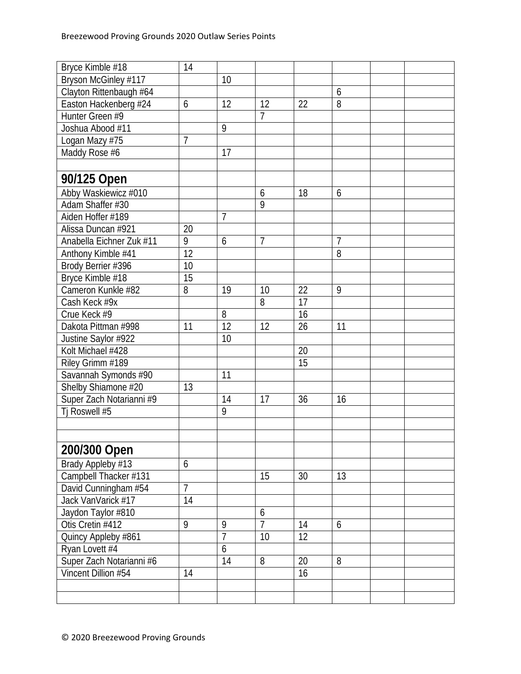| Bryce Kimble #18         | 14              |                 |                |    |                |  |
|--------------------------|-----------------|-----------------|----------------|----|----------------|--|
| Bryson McGinley #117     |                 | 10              |                |    |                |  |
| Clayton Rittenbaugh #64  |                 |                 |                |    | 6              |  |
| Easton Hackenberg #24    | 6               | 12              | 12             | 22 | 8              |  |
| Hunter Green #9          |                 |                 | 7              |    |                |  |
| Joshua Abood #11         |                 | 9               |                |    |                |  |
| Logan Mazy #75           | 7               |                 |                |    |                |  |
| Maddy Rose #6            |                 | 17              |                |    |                |  |
|                          |                 |                 |                |    |                |  |
| 90/125 Open              |                 |                 |                |    |                |  |
| Abby Waskiewicz #010     |                 |                 | 6              | 18 | 6              |  |
| Adam Shaffer #30         |                 |                 | 9              |    |                |  |
| Aiden Hoffer #189        |                 | $\overline{7}$  |                |    |                |  |
| Alissa Duncan #921       | 20              |                 |                |    |                |  |
| Anabella Eichner Zuk #11 | 9               | 6               | 7              |    | $\overline{1}$ |  |
| Anthony Kimble #41       | $\overline{12}$ |                 |                |    | $\overline{8}$ |  |
| Brody Berrier #396       | 10              |                 |                |    |                |  |
| Bryce Kimble #18         | 15              |                 |                |    |                |  |
| Cameron Kunkle #82       | 8               | 19              | 10             | 22 | 9              |  |
| Cash Keck #9x            |                 |                 | 8              | 17 |                |  |
| Crue Keck #9             |                 | 8               |                | 16 |                |  |
| Dakota Pittman #998      | 11              | 12              | 12             | 26 | 11             |  |
| Justine Saylor #922      |                 | 10              |                |    |                |  |
| Kolt Michael #428        |                 |                 |                | 20 |                |  |
| Riley Grimm #189         |                 |                 |                | 15 |                |  |
| Savannah Symonds #90     |                 | 11              |                |    |                |  |
| Shelby Shiamone #20      | 13              |                 |                |    |                |  |
| Super Zach Notarianni #9 |                 | 14              | 17             | 36 | 16             |  |
| Tj Roswell #5            |                 | 9               |                |    |                |  |
|                          |                 |                 |                |    |                |  |
|                          |                 |                 |                |    |                |  |
| 200/300 Open             |                 |                 |                |    |                |  |
| Brady Appleby #13        | 6               |                 |                |    |                |  |
| Campbell Thacker #131    |                 |                 | 15             | 30 | 13             |  |
| David Cunningham #54     | $\overline{7}$  |                 |                |    |                |  |
| Jack VanVarick #17       | 14              |                 |                |    |                |  |
| Jaydon Taylor #810       |                 |                 | 6              |    |                |  |
| Otis Cretin #412         | 9               | 9               | $\overline{7}$ | 14 | 6              |  |
| Quincy Appleby #861      |                 | $\overline{7}$  | 10             | 12 |                |  |
| Ryan Lovett #4           |                 | 6               |                |    |                |  |
| Super Zach Notarianni #6 |                 | $\overline{14}$ | 8              | 20 | 8              |  |
| Vincent Dillion #54      | 14              |                 |                | 16 |                |  |
|                          |                 |                 |                |    |                |  |
|                          |                 |                 |                |    |                |  |
|                          |                 |                 |                |    |                |  |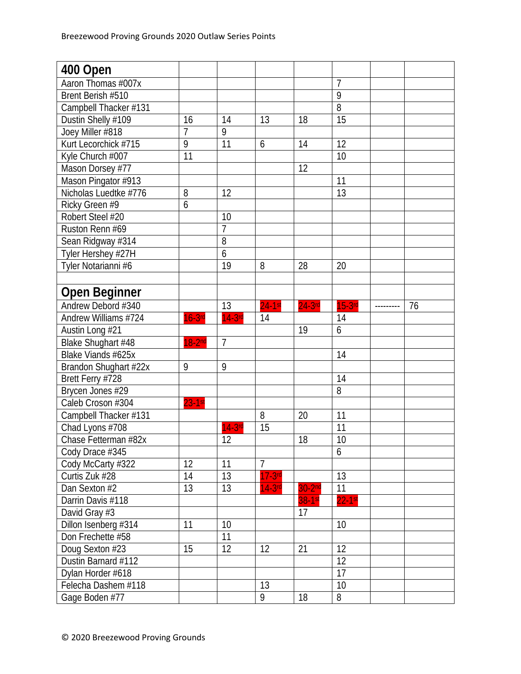| 400 Open              |                |                |                |           |                 |    |
|-----------------------|----------------|----------------|----------------|-----------|-----------------|----|
| Aaron Thomas #007x    |                |                |                |           | $\overline{7}$  |    |
| Brent Berish #510     |                |                |                |           | 9               |    |
| Campbell Thacker #131 |                |                |                |           | $\overline{8}$  |    |
| Dustin Shelly #109    | 16             | 14             | 13             | 18        | $\overline{15}$ |    |
| Joey Miller #818      | $\overline{7}$ | $\overline{9}$ |                |           |                 |    |
| Kurt Lecorchick #715  | 9              | 11             | 6              | 14        | 12              |    |
| Kyle Church #007      | 11             |                |                |           | 10              |    |
| Mason Dorsey #77      |                |                |                | 12        |                 |    |
| Mason Pingator #913   |                |                |                |           | 11              |    |
| Nicholas Luedtke #776 | 8              | 12             |                |           | 13              |    |
| Ricky Green #9        | 6              |                |                |           |                 |    |
| Robert Steel #20      |                | 10             |                |           |                 |    |
| Ruston Renn #69       |                | $\overline{1}$ |                |           |                 |    |
| Sean Ridgway #314     |                | $\overline{8}$ |                |           |                 |    |
| Tyler Hershey #27H    |                | 6              |                |           |                 |    |
| Tyler Notarianni #6   |                | 19             | 8              | 28        | 20              |    |
|                       |                |                |                |           |                 |    |
| <b>Open Beginner</b>  |                |                |                |           |                 |    |
| Andrew Debord #340    |                | 13             | $24-1st$       | $24-3$ rd | $15-3$ rd       | 76 |
| Andrew Williams #724  | $16-3$ rd      | $14-3$ rd      | 14             |           | 14              |    |
| Austin Long #21       |                |                |                | 19        | 6               |    |
| Blake Shughart #48    | $18-2nd$       | $\overline{7}$ |                |           |                 |    |
| Blake Viands #625x    |                |                |                |           | 14              |    |
| Brandon Shughart #22x | 9              | 9              |                |           |                 |    |
| Brett Ferry #728      |                |                |                |           | 14              |    |
| Brycen Jones #29      |                |                |                |           | $\overline{8}$  |    |
| Caleb Croson #304     | $23 - 1$ st    |                |                |           |                 |    |
| Campbell Thacker #131 |                |                | 8              | 20        | 11              |    |
| Chad Lyons #708       |                | $14-3rd$       | 15             |           | $\overline{11}$ |    |
| Chase Fetterman #82x  |                | 12             |                | 18        | 10              |    |
| Cody Drace #345       |                |                |                |           | 6               |    |
| Cody McCarty #322     | 12             | 11             | $\overline{7}$ |           |                 |    |
| Curtis Zuk #28        | 14             | 13             | $17-3rd$       |           | 13              |    |
| Dan Sexton #2         | 13             | 13             | $14-3rd$       | $30-2nd$  | 11              |    |
| Darrin Davis #118     |                |                |                | 38-1st    | $22-1$ st       |    |
| David Gray #3         |                |                |                | 17        |                 |    |
| Dillon Isenberg #314  | 11             | 10             |                |           | 10              |    |
| Don Frechette #58     |                | 11             |                |           |                 |    |
| Doug Sexton #23       | 15             | 12             | 12             | 21        | 12              |    |
| Dustin Barnard #112   |                |                |                |           | $\overline{12}$ |    |
| Dylan Horder #618     |                |                |                |           | 17              |    |
| Felecha Dashem #118   |                |                | 13             |           | 10              |    |
| Gage Boden #77        |                |                | 9              | 18        | 8               |    |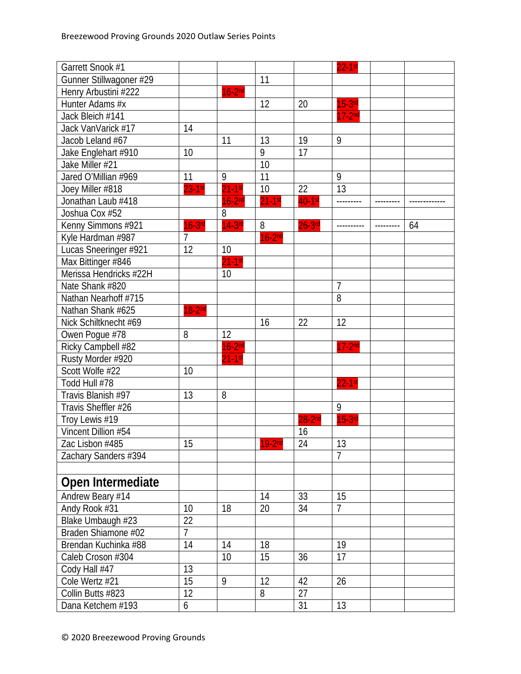| Garrett Snook #1        |                |             |          |                        | $22-1$ st      |    |
|-------------------------|----------------|-------------|----------|------------------------|----------------|----|
| Gunner Stillwagoner #29 |                |             | 11       |                        |                |    |
| Henry Arbustini #222    |                | $16-2nd$    |          |                        |                |    |
| Hunter Adams #x         |                |             | 12       | 20                     | $15-3rd$       |    |
| Jack Bleich #141        |                |             |          |                        | $17-2nd$       |    |
| Jack VanVarick #17      | 14             |             |          |                        |                |    |
| Jacob Leland #67        |                | 11          | 13       | 19                     | 9              |    |
| Jake Englehart #910     | 10             |             | 9        | 17                     |                |    |
| Jake Miller #21         |                |             | 10       |                        |                |    |
| Jared O'Millian #969    | 11             | 9           | 11       |                        | 9              |    |
| Joey Miller #818        | $23-1$ st      | $21-1$ st   | 10       | 22                     | 13             |    |
| Jonathan Laub #418      |                | $16-2nd$    | $21-1st$ | $40-1$ st              | ---------      |    |
| Joshua Cox #52          |                | 8           |          |                        |                |    |
| Kenny Simmons #921      | $16-3$ rd      | $14-3$ rd   | 8        | $26-3$ rd              |                | 64 |
| Kyle Hardman #987       | $\overline{7}$ |             | $16-2nd$ |                        |                |    |
| Lucas Sneeringer #921   | 12             | 10          |          |                        |                |    |
| Max Bittinger #846      |                | $21-1$ st   |          |                        |                |    |
| Merissa Hendricks #22H  |                | 10          |          |                        |                |    |
| Nate Shank #820         |                |             |          |                        | $\overline{1}$ |    |
| Nathan Nearhoff #715    |                |             |          |                        | 8              |    |
| Nathan Shank #625       | $18-2nd$       |             |          |                        |                |    |
| Nick Schiltknecht #69   |                |             | 16       | 22                     | 12             |    |
| Owen Pogue #78          | 8              | 12          |          |                        |                |    |
| Ricky Campbell #82      |                | $16-2nd$    |          |                        | $17-2nd$       |    |
| Rusty Morder #920       |                | $21 - 1$ st |          |                        |                |    |
| Scott Wolfe #22         | 10             |             |          |                        |                |    |
| Todd Hull #78           |                |             |          |                        | $22-1$ st      |    |
| Travis Blanish #97      | 13             | 8           |          |                        |                |    |
| Travis Sheffler #26     |                |             |          |                        | 9              |    |
| Troy Lewis #19          |                |             |          | $28-2^{\overline{nd}}$ | $15-3$ rd      |    |
| Vincent Dillion #54     |                |             |          | 16                     |                |    |
| Zac Lisbon #485         | 15             |             | $19-2nd$ | 24                     | 13             |    |
| Zachary Sanders #394    |                |             |          |                        | $\overline{7}$ |    |
|                         |                |             |          |                        |                |    |
| Open Intermediate       |                |             |          |                        |                |    |
| Andrew Beary #14        |                |             | 14       | 33                     | 15             |    |
| Andy Rook #31           | 10             | 18          | 20       | 34                     | $\overline{7}$ |    |
| Blake Umbaugh #23       | 22             |             |          |                        |                |    |
| Braden Shiamone #02     | 7              |             |          |                        |                |    |
| Brendan Kuchinka #88    | 14             | 14          | 18       |                        | 19             |    |
| Caleb Croson #304       |                | 10          | 15       | 36                     | 17             |    |
| Cody Hall #47           | 13             |             |          |                        |                |    |
| Cole Wertz #21          | 15             | 9           | 12       | 42                     | 26             |    |
| Collin Butts #823       | 12             |             | 8        | 27                     |                |    |
| Dana Ketchem #193       | 6              |             |          | 31                     | 13             |    |
|                         |                |             |          |                        |                |    |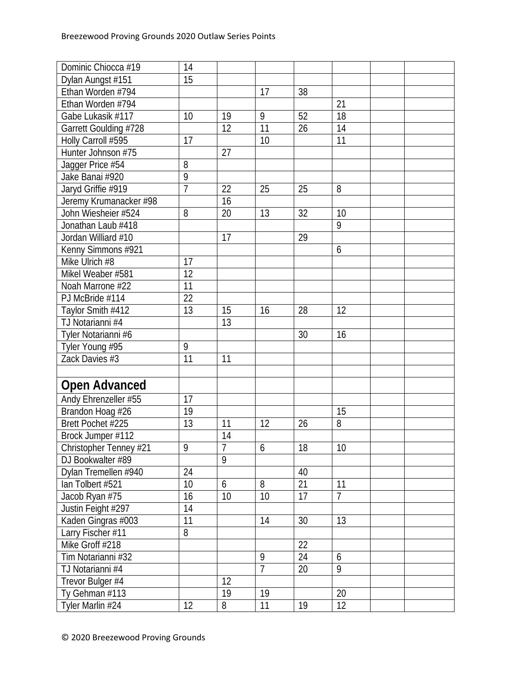| Dominic Chiocca #19    | 14              |                |                |    |                |  |
|------------------------|-----------------|----------------|----------------|----|----------------|--|
| Dylan Aungst #151      | $\overline{15}$ |                |                |    |                |  |
| Ethan Worden #794      |                 |                | 17             | 38 |                |  |
| Ethan Worden #794      |                 |                |                |    | 21             |  |
| Gabe Lukasik #117      | 10              | 19             | 9              | 52 | 18             |  |
| Garrett Goulding #728  |                 | 12             | 11             | 26 | 14             |  |
| Holly Carroll #595     | 17              |                | 10             |    | 11             |  |
| Hunter Johnson #75     |                 | 27             |                |    |                |  |
| Jagger Price #54       | 8               |                |                |    |                |  |
| Jake Banai #920        | 9               |                |                |    |                |  |
| Jaryd Griffie #919     | $\overline{1}$  | 22             | 25             | 25 | 8              |  |
| Jeremy Krumanacker #98 |                 | 16             |                |    |                |  |
| John Wiesheier #524    | 8               | 20             | 13             | 32 | 10             |  |
| Jonathan Laub #418     |                 |                |                |    | 9              |  |
| Jordan Williard #10    |                 | 17             |                | 29 |                |  |
| Kenny Simmons #921     |                 |                |                |    | 6              |  |
| Mike Ulrich #8         | 17              |                |                |    |                |  |
| Mikel Weaber #581      | $\overline{12}$ |                |                |    |                |  |
| Noah Marrone #22       | 11              |                |                |    |                |  |
| PJ McBride #114        | 22              |                |                |    |                |  |
| Taylor Smith #412      | 13              | 15             | 16             | 28 | 12             |  |
| TJ Notarianni #4       |                 | 13             |                |    |                |  |
| Tyler Notarianni #6    |                 |                |                | 30 | 16             |  |
| Tyler Young #95        | 9               |                |                |    |                |  |
| Zack Davies #3         | 11              | 11             |                |    |                |  |
|                        |                 |                |                |    |                |  |
| <b>Open Advanced</b>   |                 |                |                |    |                |  |
| Andy Ehrenzeller #55   | 17              |                |                |    |                |  |
| Brandon Hoag #26       | 19              |                |                |    | 15             |  |
| Brett Pochet #225      | 13              | 11             | 12             | 26 | 8              |  |
| Brock Jumper #112      |                 | 14             |                |    |                |  |
| Christopher Tenney #21 | $\overline{9}$  | $\overline{7}$ | 6              | 18 | 10             |  |
| DJ Bookwalter #89      |                 | 9              |                |    |                |  |
| Dylan Tremellen #940   | 24              |                |                | 40 |                |  |
| lan Tolbert #521       | 10              | 6              | 8              | 21 | 11             |  |
| Jacob Ryan #75         | 16              | 10             | 10             | 17 | $\overline{7}$ |  |
| Justin Feight #297     | 14              |                |                |    |                |  |
| Kaden Gingras #003     | 11              |                | 14             | 30 | 13             |  |
| Larry Fischer #11      | 8               |                |                |    |                |  |
| Mike Groff #218        |                 |                |                | 22 |                |  |
| Tim Notarianni #32     |                 |                | 9              | 24 | 6              |  |
| TJ Notarianni #4       |                 |                | $\overline{7}$ | 20 | 9              |  |
| Trevor Bulger #4       |                 | 12             |                |    |                |  |
| Ty Gehman #113         |                 | 19             | 19             |    | 20             |  |
| Tyler Marlin #24       | 12              | 8              | 11             | 19 | 12             |  |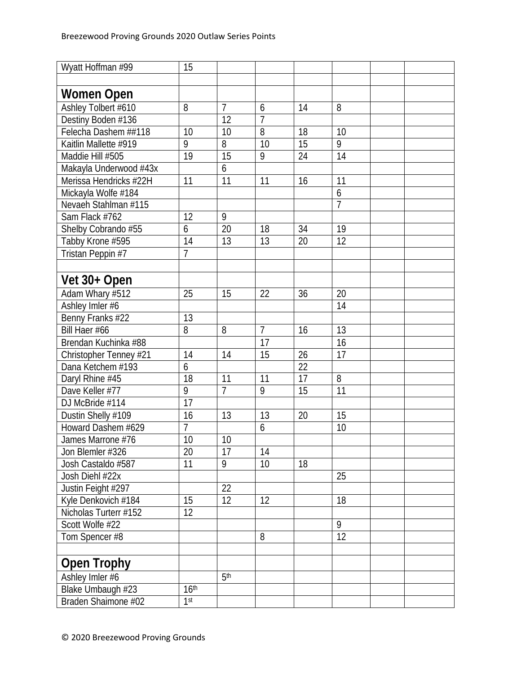| Wyatt Hoffman #99      | 15               |                 |                |    |                 |  |
|------------------------|------------------|-----------------|----------------|----|-----------------|--|
|                        |                  |                 |                |    |                 |  |
| Women Open             |                  |                 |                |    |                 |  |
| Ashley Tolbert #610    | 8                | $\overline{7}$  | 6              | 14 | 8               |  |
| Destiny Boden #136     |                  | 12              | $\overline{1}$ |    |                 |  |
| Felecha Dashem ##118   | 10               | 10              | 8              | 18 | 10              |  |
| Kaitlin Mallette #919  | 9                | 8               | 10             | 15 | $\overline{9}$  |  |
| Maddie Hill #505       | 19               | 15              | 9              | 24 | 14              |  |
| Makayla Underwood #43x |                  | 6               |                |    |                 |  |
| Merissa Hendricks #22H | 11               | 11              | 11             | 16 | 11              |  |
| Mickayla Wolfe #184    |                  |                 |                |    | 6               |  |
| Nevaeh Stahlman #115   |                  |                 |                |    | $\overline{7}$  |  |
| Sam Flack #762         | 12               | 9               |                |    |                 |  |
| Shelby Cobrando #55    | 6                | 20              | 18             | 34 | 19              |  |
| Tabby Krone #595       | 14               | 13              | 13             | 20 | $\overline{12}$ |  |
| Tristan Peppin #7      | $\overline{7}$   |                 |                |    |                 |  |
|                        |                  |                 |                |    |                 |  |
| Vet 30+ Open           |                  |                 |                |    |                 |  |
| Adam Whary #512        | 25               | 15              | 22             | 36 | 20              |  |
| Ashley Imler #6        |                  |                 |                |    | 14              |  |
| Benny Franks #22       | 13               |                 |                |    |                 |  |
| Bill Haer #66          | 8                | 8               | $\overline{7}$ | 16 | 13              |  |
| Brendan Kuchinka #88   |                  |                 | 17             |    | 16              |  |
| Christopher Tenney #21 | 14               | 14              | 15             | 26 | 17              |  |
| Dana Ketchem #193      | 6                |                 |                | 22 |                 |  |
| Daryl Rhine #45        | 18               | 11              | 11             | 17 | 8               |  |
| Dave Keller #77        | 9                | $\overline{7}$  | 9              | 15 | 11              |  |
| DJ McBride #114        | 17               |                 |                |    |                 |  |
| Dustin Shelly #109     | 16               | 13              | 13             | 20 | 15              |  |
| Howard Dashem #629     | $\overline{7}$   |                 | 6              |    | $\overline{10}$ |  |
| James Marrone #76      | 10               | 10              |                |    |                 |  |
| Jon Blemler #326       | 20               | 17              | 14             |    |                 |  |
| Josh Castaldo #587     | 11               | 9               | 10             | 18 |                 |  |
| Josh Diehl #22x        |                  |                 |                |    | 25              |  |
| Justin Feight #297     |                  | 22              |                |    |                 |  |
| Kyle Denkovich #184    | 15               | 12              | 12             |    | 18              |  |
| Nicholas Turterr #152  | 12               |                 |                |    |                 |  |
| Scott Wolfe #22        |                  |                 |                |    | 9               |  |
| Tom Spencer #8         |                  |                 | 8              |    | $\overline{12}$ |  |
|                        |                  |                 |                |    |                 |  |
| <b>Open Trophy</b>     |                  |                 |                |    |                 |  |
| Ashley Imler #6        |                  | 5 <sup>th</sup> |                |    |                 |  |
| Blake Umbaugh #23      | 16 <sup>th</sup> |                 |                |    |                 |  |
| Braden Shaimone #02    | 1 <sup>st</sup>  |                 |                |    |                 |  |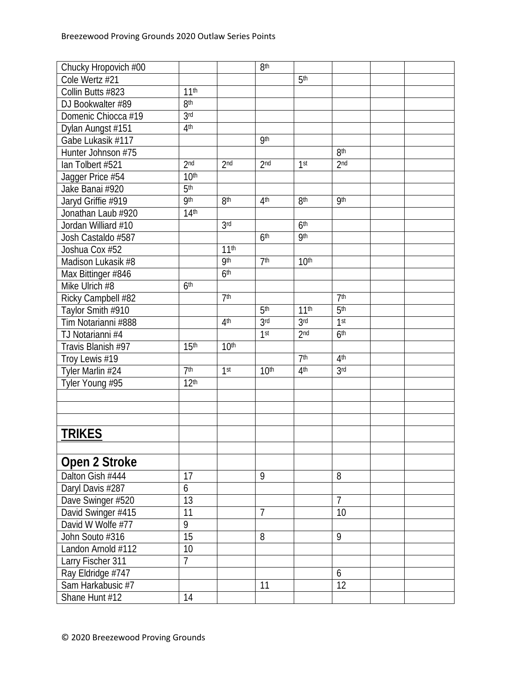| Chucky Hropovich #00                   |                  |                  | 8 <sup>th</sup>  |                  |                 |  |
|----------------------------------------|------------------|------------------|------------------|------------------|-----------------|--|
| Cole Wertz #21                         |                  |                  |                  | 5 <sup>th</sup>  |                 |  |
| Collin Butts #823                      | 11 <sup>th</sup> |                  |                  |                  |                 |  |
| DJ Bookwalter #89                      | 8 <sup>th</sup>  |                  |                  |                  |                 |  |
| Domenic Chiocca #19                    | 3 <sub>rd</sub>  |                  |                  |                  |                 |  |
| Dylan Aungst #151                      | 4 <sup>th</sup>  |                  |                  |                  |                 |  |
| Gabe Lukasik #117                      |                  |                  | <b>9th</b>       |                  |                 |  |
| Hunter Johnson #75                     |                  |                  |                  |                  | 8 <sup>th</sup> |  |
| lan Tolbert #521                       | 2 <sub>nd</sub>  | 2 <sub>nd</sub>  | 2 <sub>nd</sub>  | 1 <sup>st</sup>  | 2 <sub>nd</sub> |  |
| Jagger Price #54                       | 10 <sup>th</sup> |                  |                  |                  |                 |  |
| Jake Banai #920                        | 5 <sup>th</sup>  |                  |                  |                  |                 |  |
| Jaryd Griffie #919                     | <b>9th</b>       | 8 <sup>th</sup>  | 4 <sup>th</sup>  | 8 <sup>th</sup>  | <b>9th</b>      |  |
| Jonathan Laub #920                     | 14 <sup>th</sup> |                  |                  |                  |                 |  |
| Jordan Williard #10                    |                  | 3 <sup>rd</sup>  |                  | 6 <sup>th</sup>  |                 |  |
| Josh Castaldo #587                     |                  |                  | 6 <sup>th</sup>  | <b>9th</b>       |                 |  |
| Joshua Cox #52                         |                  | 11 <sup>th</sup> |                  |                  |                 |  |
| Madison Lukasik #8                     |                  | <b>9th</b>       | 7 <sup>th</sup>  | 10 <sup>th</sup> |                 |  |
| Max Bittinger #846                     |                  | 6 <sup>th</sup>  |                  |                  |                 |  |
| Mike Ulrich #8                         | 6 <sup>th</sup>  |                  |                  |                  |                 |  |
| Ricky Campbell #82                     |                  | 7 <sup>th</sup>  |                  |                  | 7 <sup>th</sup> |  |
| Taylor Smith #910                      |                  |                  | 5 <sup>th</sup>  | 11 <sup>th</sup> | 5 <sup>th</sup> |  |
| Tim Notarianni #888                    |                  | 4 <sup>th</sup>  | 3 <sub>rd</sub>  | 3 <sub>rd</sub>  | 1st             |  |
| TJ Notarianni #4                       |                  |                  | 1 <sup>st</sup>  | 2 <sub>nd</sub>  | 6 <sup>th</sup> |  |
| Travis Blanish #97                     | 15 <sup>th</sup> | 10 <sup>th</sup> |                  |                  |                 |  |
| Troy Lewis #19                         |                  |                  |                  | 7 <sup>th</sup>  | 4 <sup>th</sup> |  |
| Tyler Marlin $\#24$                    | 7 <sup>th</sup>  | 1 <sup>st</sup>  | 10 <sup>th</sup> | 4 <sup>th</sup>  | 3 <sub>rd</sub> |  |
| Tyler Young #95                        | 12 <sup>th</sup> |                  |                  |                  |                 |  |
|                                        |                  |                  |                  |                  |                 |  |
|                                        |                  |                  |                  |                  |                 |  |
|                                        |                  |                  |                  |                  |                 |  |
| <b>TRIKES</b>                          |                  |                  |                  |                  |                 |  |
|                                        |                  |                  |                  |                  |                 |  |
| Open 2 Stroke                          |                  |                  |                  |                  |                 |  |
| Dalton Gish #444                       | 17               |                  | 9                |                  | 8               |  |
| Daryl Davis #287                       | 6                |                  |                  |                  |                 |  |
| Dave Swinger #520                      | 13               |                  |                  |                  | $\overline{7}$  |  |
| David Swinger #415                     | 11               |                  | $\overline{7}$   |                  | 10              |  |
| David W Wolfe #77                      | 9                |                  |                  |                  |                 |  |
| John Souto #316                        | 15               |                  | 8                |                  | 9               |  |
| Landon Arnold #112                     | 10               |                  |                  |                  |                 |  |
| Larry Fischer 311                      | $\overline{7}$   |                  |                  |                  |                 |  |
|                                        |                  |                  |                  |                  | 6               |  |
| Ray Eldridge #747<br>Sam Harkabusic #7 |                  |                  | 11               |                  | $\overline{12}$ |  |
| Shane Hunt #12                         | 14               |                  |                  |                  |                 |  |
|                                        |                  |                  |                  |                  |                 |  |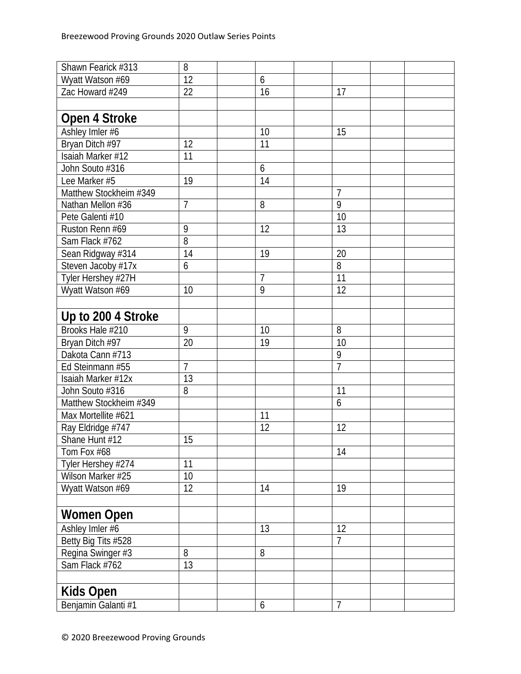| Shawn Fearick #313     | 8              |                 |                |  |
|------------------------|----------------|-----------------|----------------|--|
| Wyatt Watson #69       | 12             | 6               |                |  |
| Zac Howard #249        | 22             | 16              | 17             |  |
|                        |                |                 |                |  |
| Open 4 Stroke          |                |                 |                |  |
| Ashley Imler #6        |                | 10              | 15             |  |
| Bryan Ditch #97        | 12             | 11              |                |  |
| Isaiah Marker #12      | 11             |                 |                |  |
| John Souto #316        |                | 6               |                |  |
| Lee Marker #5          | 19             | 14              |                |  |
| Matthew Stockheim #349 |                |                 | $\overline{7}$ |  |
| Nathan Mellon #36      | $\overline{7}$ | 8               | $\overline{9}$ |  |
| Pete Galenti #10       |                |                 | 10             |  |
| Ruston Renn #69        | 9              | 12              | 13             |  |
| Sam Flack #762         | $\overline{8}$ |                 |                |  |
| Sean Ridgway #314      | 14             | 19              | 20             |  |
| Steven Jacoby #17x     | 6              |                 | 8              |  |
| Tyler Hershey #27H     |                | 7               | 11             |  |
| Wyatt Watson #69       | 10             | 9               | 12             |  |
|                        |                |                 |                |  |
| Up to 200 4 Stroke     |                |                 |                |  |
| Brooks Hale #210       | 9              | 10              | 8              |  |
| Bryan Ditch #97        | 20             | 19              | 10             |  |
| Dakota Cann #713       |                |                 | 9              |  |
| Ed Steinmann #55       | $\overline{7}$ |                 | $\overline{7}$ |  |
| Isaiah Marker #12x     | 13             |                 |                |  |
| John Souto #316        | 8              |                 | 11             |  |
| Matthew Stockheim #349 |                |                 | 6              |  |
| Max Mortellite #621    |                | 11              |                |  |
| Ray Eldridge #747      |                | $\overline{12}$ | 12             |  |
| Shane Hunt #12         | 15             |                 |                |  |
| Tom Fox #68            |                |                 | 14             |  |
| Tyler Hershey #274     | 11             |                 |                |  |
| Wilson Marker #25      | 10             |                 |                |  |
| Wyatt Watson #69       | 12             | 14              | 19             |  |
|                        |                |                 |                |  |
| <b>Women Open</b>      |                |                 |                |  |
| Ashley Imler #6        |                | 13              | 12             |  |
| Betty Big Tits #528    |                |                 | $\overline{7}$ |  |
| Regina Swinger #3      | 8              | 8               |                |  |
| Sam Flack #762         | 13             |                 |                |  |
|                        |                |                 |                |  |
| <b>Kids Open</b>       |                |                 |                |  |
| Benjamin Galanti #1    |                | 6               | $\overline{7}$ |  |